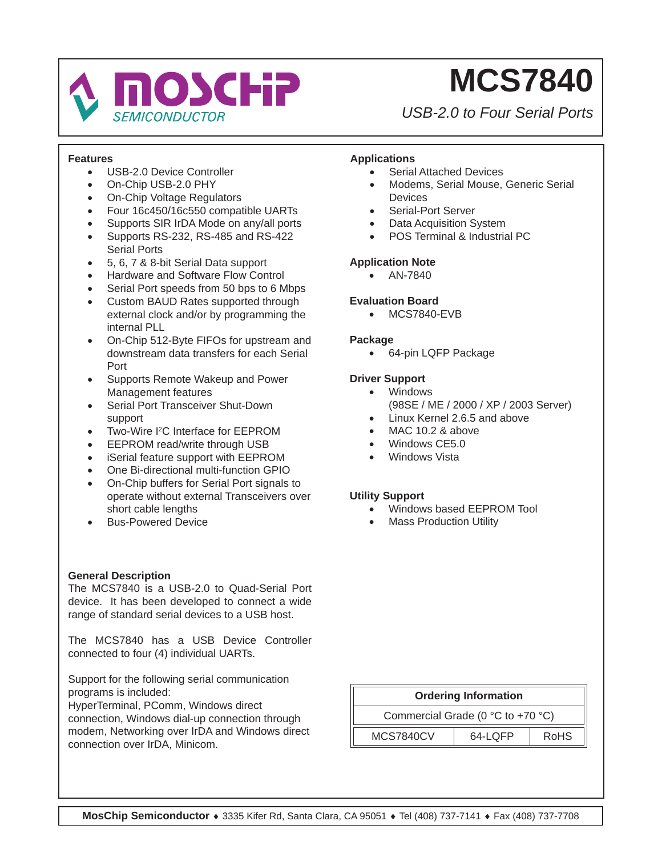

*USB-2.0 to Four Serial Ports*

#### **Features**

- USB-2.0 Device Controller
- On-Chip USB-2.0 PHY
- On-Chip Voltage Regulators
- Four 16c450/16c550 compatible UARTs
- Supports SIR IrDA Mode on any/all ports
- Supports RS-232, RS-485 and RS-422 Serial Ports
- 5, 6, 7 & 8-bit Serial Data support
- Hardware and Software Flow Control
- Serial Port speeds from 50 bps to 6 Mbps
- Custom BAUD Rates supported through external clock and/or by programming the internal PLL
- On-Chip 512-Byte FIFOs for upstream and downstream data transfers for each Serial Port
- Supports Remote Wakeup and Power Management features
- Serial Port Transceiver Shut-Down support
- Two-Wire I<sup>2</sup>C Interface for EEPROM
- EEPROM read/write through USB
- iSerial feature support with EEPROM
- One Bi-directional multi-function GPIO
- On-Chip buffers for Serial Port signals to operate without external Transceivers over short cable lengths
- **Bus-Powered Device**

### **General Description**

The MCS7840 is a USB-2.0 to Quad-Serial Port device. It has been developed to connect a wide range of standard serial devices to a USB host.

The MCS7840 has a USB Device Controller connected to four (4) individual UARTs.

Support for the following serial communication programs is included:

HyperTerminal, PComm, Windows direct connection, Windows dial-up connection through modem, Networking over IrDA and Windows direct connection over IrDA, Minicom.

### **Applications**

- Serial Attached Devices
- Modems, Serial Mouse, Generic Serial **Devices**
- Serial-Port Server
- **Data Acquisition System**
- POS Terminal & Industrial PC

#### **Application Note**

• AN-7840

#### **Evaluation Board**

• MCS7840-EVB

#### **Package**

• 64-pin LQFP Package

#### **Driver Support**

- Windows (98SE / ME / 2000 / XP / 2003 Server)
- Linux Kernel 2.6.5 and above
- MAC 10.2 & above
- Windows CE5.0
- Windows Vista

#### **Utility Support**

- Windows based EEPROM Tool
- **Mass Production Utility**

### **Ordering Information** Commercial Grade (0 °C to +70 °C) MCS7840CV | 64-LQFP | RoHS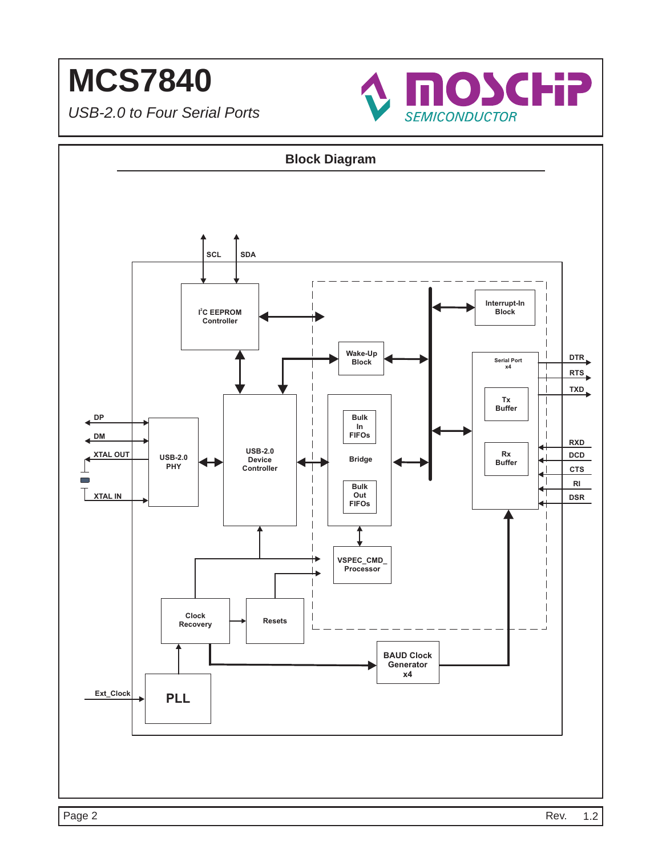

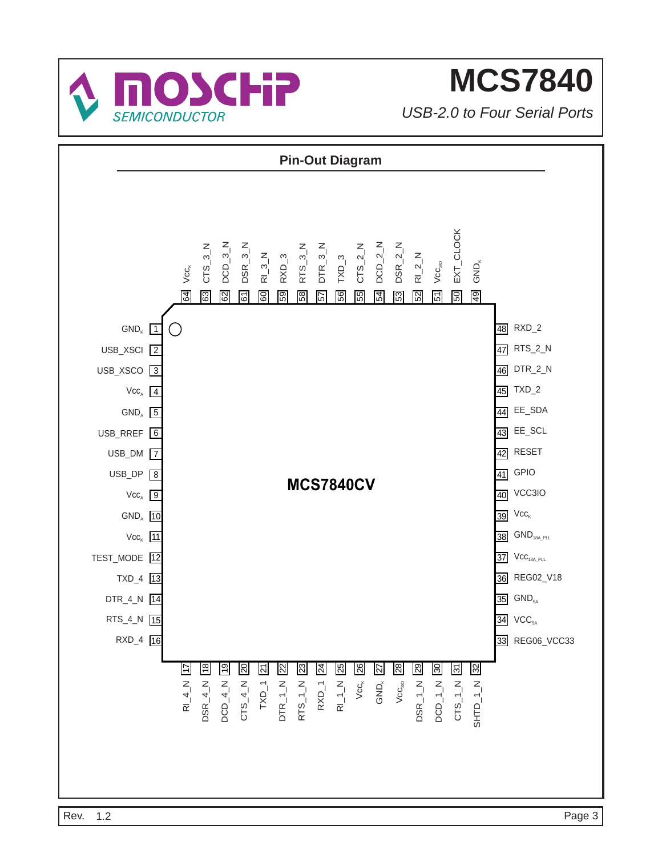

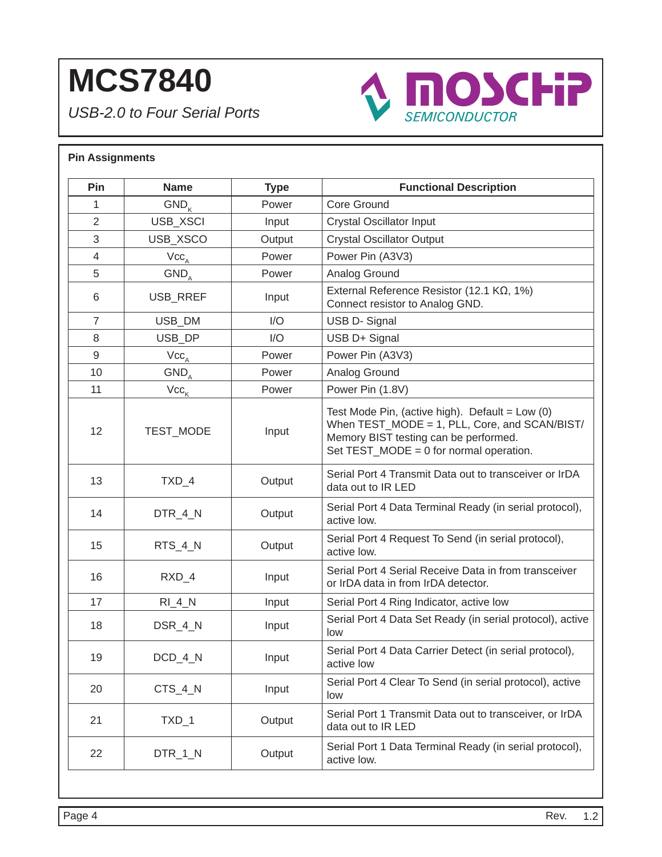*USB-2.0 to Four Serial Ports*



### **Pin Assignments Pin** Name Type Name Type **Runctional Description** 1 GND<sub>w</sub> | Power Core Ground 2 | USB XSCI | Input | Crystal Oscillator Input 3 | USB XSCO | Output | Crystal Oscillator Output 4 | Vcc<sub>a</sub> | Power Pin (A3V3) 5 | GND<sub>a</sub> | Power | Analog Ground 6 USB RREF Input  $\begin{bmatrix} 6 & 12.1 \end{bmatrix}$  USB RREF Input  $\begin{bmatrix} 2.1 \end{bmatrix}$  External Reference Resistor (12.1 KQ, 1%) Connect resistor to Analog GND. 7 | USB DM | I/O | USB D- Signal 8 | USB DP | I/O | USB D+ Signal 9 | Vcc<sub>a</sub> | Power | Power Pin (A3V3) 10 | GND<sub>,</sub> | Power | Analog Ground 11 |  $Vcc_{k}$  | Power Pin (1.8V) 12 | TEST MODE | Input Test Mode Pin, (active high). Default =  $Low(0)$ When TEST\_MODE = 1, PLL, Core, and SCAN/BIST/ Memory BIST testing can be performed. Set TEST\_MODE = 0 for normal operation. 13 TXD 4 Output Serial Port 4 Transmit Data out to transceiver or IrDA data out to IR LED 14 DTR\_4\_N Cutput Serial Port 4 Data Terminal Ready (in serial protocol), active low. 15 RTS\_4\_N Output Serial Port 4 Request To Send (in serial protocol), active low. 16 RXD\_4 Input Serial Port 4 Serial Receive Data in from transceiver or IrDA data in from IrDA detector. 17 | RI\_4\_N | Input | Serial Port 4 Ring Indicator, active low 18 DSR\_4\_N Input Serial Port 4 Data Set Ready (in serial protocol), active low 19 DCD\_4\_N Input Serial Port 4 Data Carrier Detect (in serial protocol), active low 20 CTS 4 N Input Serial Port 4 Clear To Send (in serial protocol), active low 21 TXD 1 Output Serial Port 1 Transmit Data out to transceiver, or IrDA data out to IR LED 22 DTR\_1\_N Output Serial Port 1 Data Terminal Ready (in serial protocol), active low.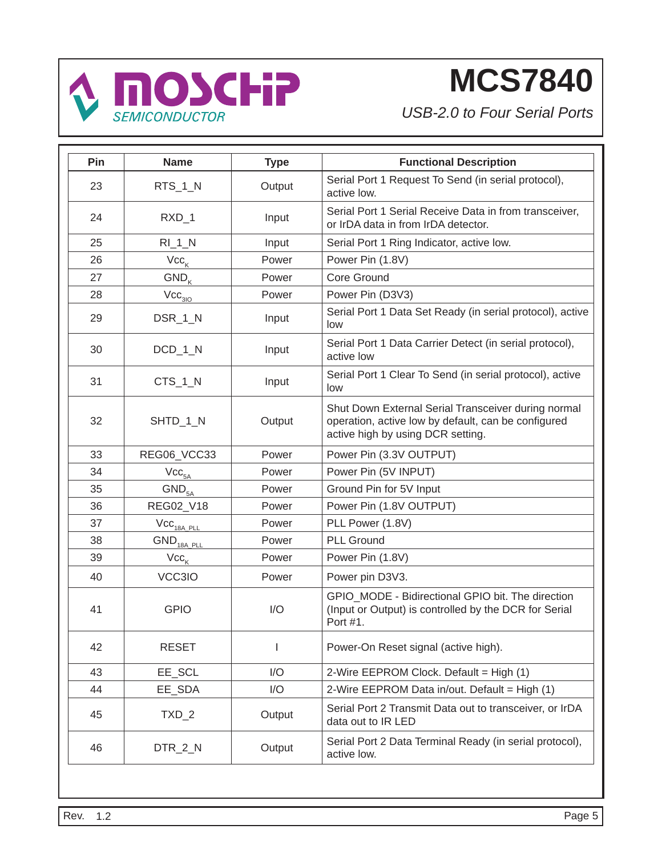

| Pin | <b>Name</b>                             | <b>Type</b>  | <b>Functional Description</b>                                                                                                                   |
|-----|-----------------------------------------|--------------|-------------------------------------------------------------------------------------------------------------------------------------------------|
| 23  | RTS_1_N                                 | Output       | Serial Port 1 Request To Send (in serial protocol),<br>active low.                                                                              |
| 24  | $RXD_1$                                 | Input        | Serial Port 1 Serial Receive Data in from transceiver,<br>or IrDA data in from IrDA detector.                                                   |
| 25  | $RI_1N$                                 | Input        | Serial Port 1 Ring Indicator, active low.                                                                                                       |
| 26  | $\mathsf{Vcc}_\mathsf{K}$               | Power        | Power Pin (1.8V)                                                                                                                                |
| 27  | $GND_{K}$                               | Power        | Core Ground                                                                                                                                     |
| 28  | $\text{Vcc}_{3\underline{\mid 0 \mid}}$ | Power        | Power Pin (D3V3)                                                                                                                                |
| 29  | DSR_1_N                                 | Input        | Serial Port 1 Data Set Ready (in serial protocol), active<br>low                                                                                |
| 30  | $DCD_1_N$                               | Input        | Serial Port 1 Data Carrier Detect (in serial protocol),<br>active low                                                                           |
| 31  | $CTS_1_N$                               | Input        | Serial Port 1 Clear To Send (in serial protocol), active<br>low                                                                                 |
| 32  | SHTD_1_N                                | Output       | Shut Down External Serial Transceiver during normal<br>operation, active low by default, can be configured<br>active high by using DCR setting. |
| 33  | REG06_VCC33                             | Power        | Power Pin (3.3V OUTPUT)                                                                                                                         |
| 34  | $\text{Vcc}_{5\text{A}}$                | Power        | Power Pin (5V INPUT)                                                                                                                            |
| 35  | GND <sub>5A</sub>                       | Power        | Ground Pin for 5V Input                                                                                                                         |
| 36  | REG02_V18                               | Power        | Power Pin (1.8V OUTPUT)                                                                                                                         |
| 37  | $\text{Vcc}_{\text{18A-PLL}}$           | Power        | PLL Power (1.8V)                                                                                                                                |
| 38  | $GND_{\frac{18A \text{ PIL}}{2}}$       | Power        | <b>PLL Ground</b>                                                                                                                               |
| 39  | $\mathsf{Vcc}_\mathsf{K}$               | Power        | Power Pin (1.8V)                                                                                                                                |
| 40  | VCC3IO                                  | Power        | Power pin D3V3.                                                                                                                                 |
| 41  | <b>GPIO</b>                             | I/O          | GPIO_MODE - Bidirectional GPIO bit. The direction<br>(Input or Output) is controlled by the DCR for Serial<br>Port #1.                          |
| 42  | <b>RESET</b>                            | $\mathbf{I}$ | Power-On Reset signal (active high).                                                                                                            |
| 43  | EE_SCL                                  | I/O          | 2-Wire EEPROM Clock. Default = High (1)                                                                                                         |
| 44  | EE_SDA                                  | I/O          | 2-Wire EEPROM Data in/out. Default = High (1)                                                                                                   |
| 45  | $TXD_2$                                 | Output       | Serial Port 2 Transmit Data out to transceiver, or IrDA<br>data out to IR LED                                                                   |
| 46  | DTR_2_N                                 | Output       | Serial Port 2 Data Terminal Ready (in serial protocol),<br>active low.                                                                          |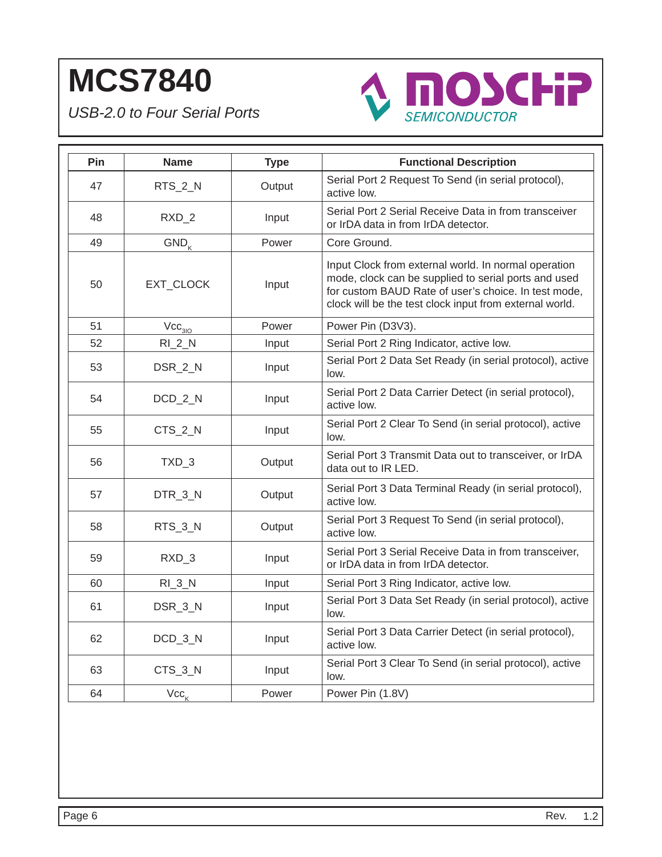

| Pin | <b>Name</b>               | <b>Type</b> | <b>Functional Description</b>                                                                                                                                                                                                   |
|-----|---------------------------|-------------|---------------------------------------------------------------------------------------------------------------------------------------------------------------------------------------------------------------------------------|
| 47  | RTS_2_N                   | Output      | Serial Port 2 Request To Send (in serial protocol),<br>active low.                                                                                                                                                              |
| 48  | RXD_2                     | Input       | Serial Port 2 Serial Receive Data in from transceiver<br>or IrDA data in from IrDA detector.                                                                                                                                    |
| 49  | $GND_{K}$                 | Power       | Core Ground.                                                                                                                                                                                                                    |
| 50  | EXT_CLOCK                 | Input       | Input Clock from external world. In normal operation<br>mode, clock can be supplied to serial ports and used<br>for custom BAUD Rate of user's choice. In test mode,<br>clock will be the test clock input from external world. |
| 51  | Vcc <sub>310</sub>        | Power       | Power Pin (D3V3).                                                                                                                                                                                                               |
| 52  | $RI_2N$                   | Input       | Serial Port 2 Ring Indicator, active low.                                                                                                                                                                                       |
| 53  | DSR_2_N                   | Input       | Serial Port 2 Data Set Ready (in serial protocol), active<br>low.                                                                                                                                                               |
| 54  | DCD_2_N                   | Input       | Serial Port 2 Data Carrier Detect (in serial protocol),<br>active low.                                                                                                                                                          |
| 55  | CTS_2_N                   | Input       | Serial Port 2 Clear To Send (in serial protocol), active<br>low.                                                                                                                                                                |
| 56  | TXD_3                     | Output      | Serial Port 3 Transmit Data out to transceiver, or IrDA<br>data out to IR LED.                                                                                                                                                  |
| 57  | DTR_3_N                   | Output      | Serial Port 3 Data Terminal Ready (in serial protocol),<br>active low.                                                                                                                                                          |
| 58  | RTS_3_N                   | Output      | Serial Port 3 Request To Send (in serial protocol),<br>active low.                                                                                                                                                              |
| 59  | RXD_3                     | Input       | Serial Port 3 Serial Receive Data in from transceiver,<br>or IrDA data in from IrDA detector.                                                                                                                                   |
| 60  | $RI_3_N$                  | Input       | Serial Port 3 Ring Indicator, active low.                                                                                                                                                                                       |
| 61  | DSR_3_N                   | Input       | Serial Port 3 Data Set Ready (in serial protocol), active<br>low.                                                                                                                                                               |
| 62  | $DCD_3_N$                 | Input       | Serial Port 3 Data Carrier Detect (in serial protocol),<br>active low.                                                                                                                                                          |
| 63  | CTS_3_N                   | Input       | Serial Port 3 Clear To Send (in serial protocol), active<br>low.                                                                                                                                                                |
| 64  | $\mathsf{Vcc}_\mathsf{K}$ | Power       | Power Pin (1.8V)                                                                                                                                                                                                                |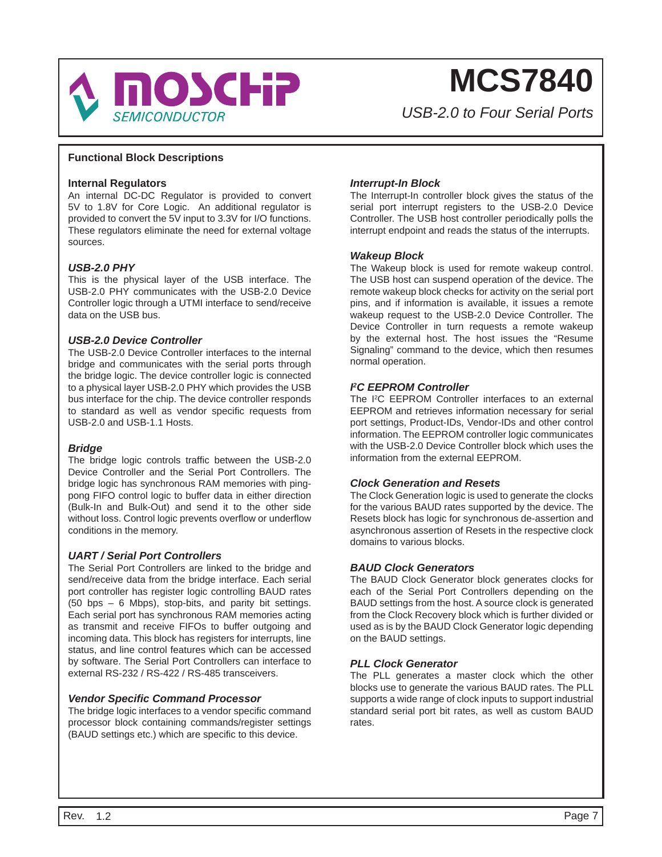

*USB-2.0 to Four Serial Ports*

#### **Functional Block Descriptions**

#### **Internal Regulators**

An internal DC-DC Regulator is provided to convert 5V to 1.8V for Core Logic. An additional regulator is provided to convert the 5V input to 3.3V for I/O functions. These regulators eliminate the need for external voltage sources.

#### *USB-2.0 PHY*

This is the physical layer of the USB interface. The USB-2.0 PHY communicates with the USB-2.0 Device Controller logic through a UTMI interface to send/receive data on the USB bus.

#### *USB-2.0 Device Controller*

The USB-2.0 Device Controller interfaces to the internal bridge and communicates with the serial ports through the bridge logic. The device controller logic is connected to a physical layer USB-2.0 PHY which provides the USB bus interface for the chip. The device controller responds to standard as well as vendor specific requests from USB-2.0 and USB-1.1 Hosts.

#### *Bridge*

The bridge logic controls traffic between the USB-2.0 Device Controller and the Serial Port Controllers. The bridge logic has synchronous RAM memories with pingpong FIFO control logic to buffer data in either direction (Bulk-In and Bulk-Out) and send it to the other side without loss. Control logic prevents overflow or underflow conditions in the memory.

#### *UART / Serial Port Controllers*

The Serial Port Controllers are linked to the bridge and send/receive data from the bridge interface. Each serial port controller has register logic controlling BAUD rates (50 bps – 6 Mbps), stop-bits, and parity bit settings. Each serial port has synchronous RAM memories acting as transmit and receive FIFOs to buffer outgoing and incoming data. This block has registers for interrupts, line status, and line control features which can be accessed by software. The Serial Port Controllers can interface to external RS-232 / RS-422 / RS-485 transceivers.

#### *Vendor Specifi c Command Processor*

The bridge logic interfaces to a vendor specific command processor block containing commands/register settings (BAUD settings etc.) which are specific to this device.

#### *Interrupt-In Block*

The Interrupt-In controller block gives the status of the serial port interrupt registers to the USB-2.0 Device Controller. The USB host controller periodically polls the interrupt endpoint and reads the status of the interrupts.

#### *Wakeup Block*

The Wakeup block is used for remote wakeup control. The USB host can suspend operation of the device. The remote wakeup block checks for activity on the serial port pins, and if information is available, it issues a remote wakeup request to the USB-2.0 Device Controller. The Device Controller in turn requests a remote wakeup by the external host. The host issues the "Resume Signaling" command to the device, which then resumes normal operation.

#### *I 2 C EEPROM Controller*

The I<sup>2</sup>C EEPROM Controller interfaces to an external EEPROM and retrieves information necessary for serial port settings, Product-IDs, Vendor-IDs and other control information. The EEPROM controller logic communicates with the USB-2.0 Device Controller block which uses the information from the external EEPROM.

#### *Clock Generation and Resets*

The Clock Generation logic is used to generate the clocks for the various BAUD rates supported by the device. The Resets block has logic for synchronous de-assertion and asynchronous assertion of Resets in the respective clock domains to various blocks.

#### *BAUD Clock Generators*

The BAUD Clock Generator block generates clocks for each of the Serial Port Controllers depending on the BAUD settings from the host. A source clock is generated from the Clock Recovery block which is further divided or used as is by the BAUD Clock Generator logic depending on the BAUD settings.

#### *PLL Clock Generator*

The PLL generates a master clock which the other blocks use to generate the various BAUD rates. The PLL supports a wide range of clock inputs to support industrial standard serial port bit rates, as well as custom BAUD rates.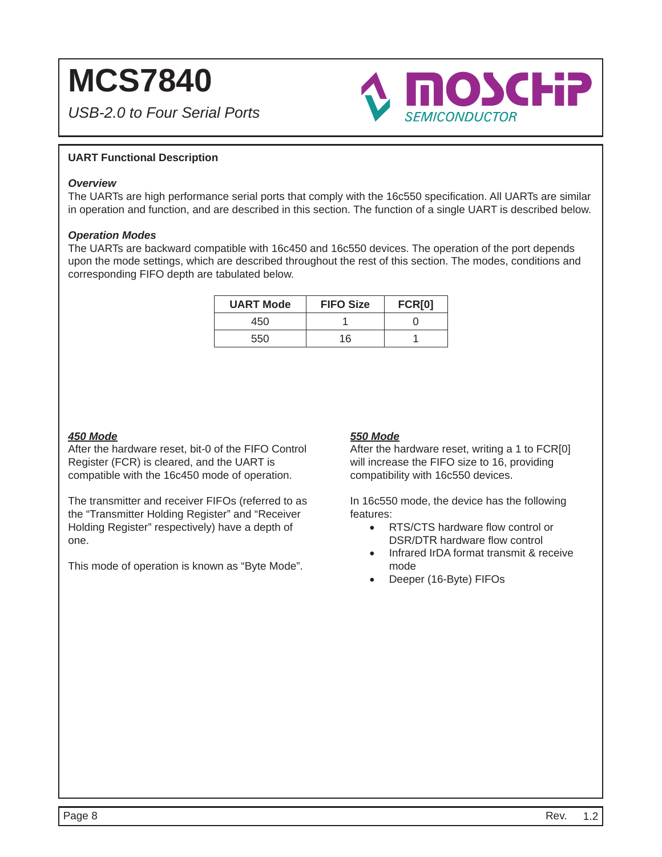*USB-2.0 to Four Serial Ports*



### **UART Functional Description**

#### *Overview*

The UARTs are high performance serial ports that comply with the 16c550 specification. All UARTs are similar in operation and function, and are described in this section. The function of a single UART is described below.

#### *Operation Modes*

The UARTs are backward compatible with 16c450 and 16c550 devices. The operation of the port depends upon the mode settings, which are described throughout the rest of this section. The modes, conditions and corresponding FIFO depth are tabulated below.

| <b>UART Mode</b> | <b>FIFO Size</b> | <b>FCR[0]</b> |
|------------------|------------------|---------------|
| 450              |                  |               |
| 550              | 16               |               |

### *450 Mode*

After the hardware reset, bit-0 of the FIFO Control Register (FCR) is cleared, and the UART is compatible with the 16c450 mode of operation.

The transmitter and receiver FIFOs (referred to as the "Transmitter Holding Register" and "Receiver Holding Register" respectively) have a depth of one.

This mode of operation is known as "Byte Mode".

### *550 Mode*

After the hardware reset, writing a 1 to FCR[0] will increase the FIFO size to 16, providing compatibility with 16c550 devices.

In 16c550 mode, the device has the following features:

- $\bullet$  RTS/CTS hardware flow control or DSR/DTR hardware flow control
- Infrared IrDA format transmit & receive mode
- Deeper (16-Byte) FIFOs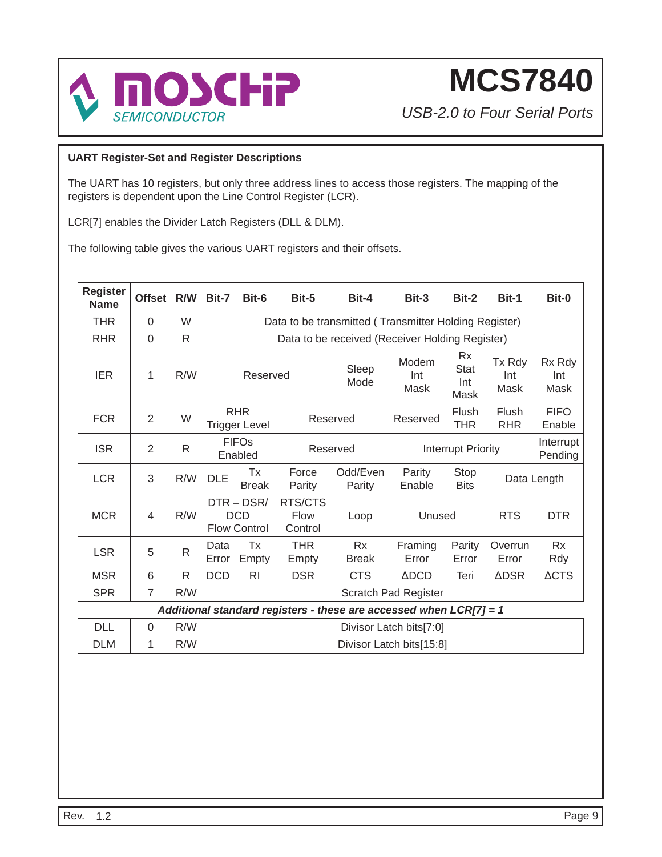

*USB-2.0 to Four Serial Ports*

### **UART Register-Set and Register Descriptions**

The UART has 10 registers, but only three address lines to access those registers. The mapping of the registers is dependent upon the Line Control Register (LCR).

LCR[7] enables the Divider Latch Registers (DLL & DLM).

The following table gives the various UART registers and their offsets.

| <b>Register</b><br><b>Name</b> | <b>Offset</b>    | R/W          | Bit-7                              | Bit-6                                         | Bit-5                      | Bit-4                                                              | Bit-3                     | Bit-2                            | Bit-1                 | Bit-0                 |
|--------------------------------|------------------|--------------|------------------------------------|-----------------------------------------------|----------------------------|--------------------------------------------------------------------|---------------------------|----------------------------------|-----------------------|-----------------------|
| <b>THR</b>                     | $\mathbf 0$      | W            |                                    |                                               |                            | Data to be transmitted (Transmitter Holding Register)              |                           |                                  |                       |                       |
| <b>RHR</b>                     | $\mathbf 0$      | R            |                                    |                                               |                            | Data to be received (Receiver Holding Register)                    |                           |                                  |                       |                       |
| <b>IER</b>                     | 1                | R/W          |                                    | Reserved                                      |                            | Sleep<br>Mode                                                      | Modem<br>Int<br>Mask      | <b>Rx</b><br>Stat<br>Int<br>Mask | Tx Rdy<br>Int<br>Mask | Rx Rdy<br>Int<br>Mask |
| <b>FCR</b>                     | $\overline{2}$   | W            | <b>RHR</b><br><b>Trigger Level</b> |                                               | Reserved                   |                                                                    | Reserved                  | Flush<br>THR                     | Flush<br><b>RHR</b>   | <b>FIFO</b><br>Enable |
| <b>ISR</b>                     | $\overline{2}$   | $\mathsf{R}$ | <b>FIFOs</b><br>Enabled            |                                               | Reserved                   |                                                                    | <b>Interrupt Priority</b> |                                  |                       | Interrupt<br>Pending  |
| <b>LCR</b>                     | 3                | R/W          | <b>DLE</b>                         | Тx<br><b>Break</b>                            | Force<br>Parity            | Odd/Even<br>Parity                                                 | Parity<br>Enable          | Stop<br><b>Bits</b>              | Data Length           |                       |
| <b>MCR</b>                     | 4                | R/W          |                                    | DTR-DSR/<br><b>DCD</b><br><b>Flow Control</b> | RTS/CTS<br>Flow<br>Control | Loop                                                               | Unused                    |                                  | <b>RTS</b>            | <b>DTR</b>            |
| <b>LSR</b>                     | 5                | R.           | Data<br>Error                      | Tx<br>Empty                                   | <b>THR</b><br>Empty        | <b>Rx</b><br><b>Break</b>                                          | Framing<br>Error          | Parity<br>Error                  | Overrun<br>Error      | <b>Rx</b><br>Rdy      |
| <b>MSR</b>                     | 6                | R            | <b>DCD</b>                         | R <sub>l</sub>                                | <b>DSR</b>                 | <b>CTS</b>                                                         | $\triangle DCD$           | Teri                             | <b>ADSR</b>           | $\triangle CTS$       |
| <b>SPR</b>                     | $\overline{7}$   | R/W          | Scratch Pad Register               |                                               |                            |                                                                    |                           |                                  |                       |                       |
|                                |                  |              |                                    |                                               |                            | Additional standard registers - these are accessed when LCR[7] = 1 |                           |                                  |                       |                       |
| <b>DLL</b>                     | $\boldsymbol{0}$ | R/W          |                                    |                                               |                            |                                                                    | Divisor Latch bits[7:0]   |                                  |                       |                       |
| <b>DLM</b>                     | 1                | R/W          |                                    |                                               |                            |                                                                    | Divisor Latch bits[15:8]  |                                  |                       |                       |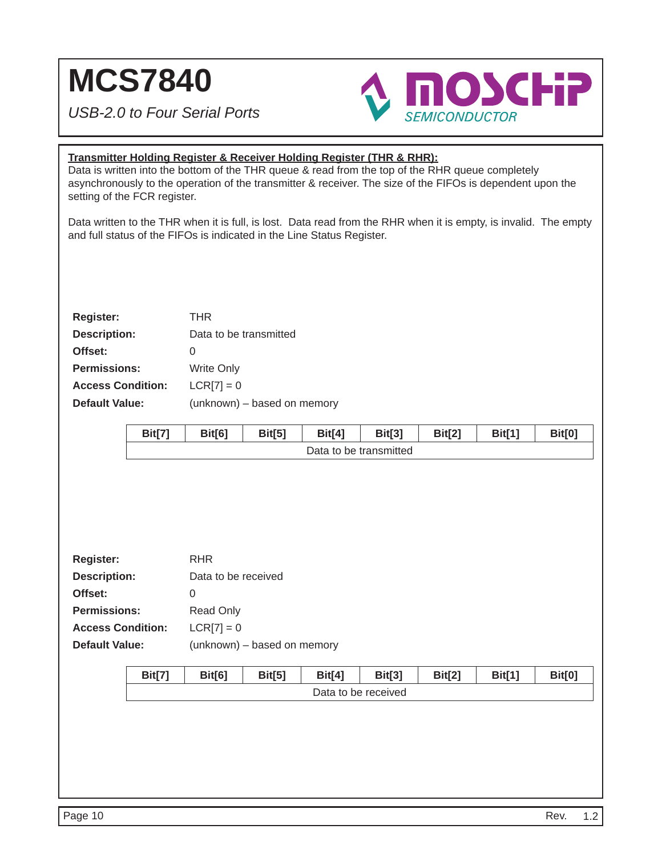*USB-2.0 to Four Serial Ports*



### **Transmitter Holding Register & Receiver Holding Register (THR & RHR):**

Data is written into the bottom of the THR queue & read from the top of the RHR queue completely asynchronously to the operation of the transmitter & receiver. The size of the FIFOs is dependent upon the setting of the FCR register.

Data written to the THR when it is full, is lost. Data read from the RHR when it is empty, is invalid. The empty and full status of the FIFOs is indicated in the Line Status Register.

| <b>Register:</b>         | THR                         |
|--------------------------|-----------------------------|
| <b>Description:</b>      | Data to be transmitted      |
| Offset:                  | O                           |
| <b>Permissions:</b>      | <b>Write Only</b>           |
| <b>Access Condition:</b> | $LCR[7] = 0$                |
| <b>Default Value:</b>    | (unknown) - based on memory |
|                          |                             |

|                          | <b>Bit[7]</b> | <b>Bit[6]</b>               | <b>Bit[5]</b> | <b>Bit[4]</b>       | <b>Bit[3]</b>          | <b>Bit[2]</b> | <b>Bit[1]</b> | <b>Bit[0]</b> |  |  |
|--------------------------|---------------|-----------------------------|---------------|---------------------|------------------------|---------------|---------------|---------------|--|--|
|                          |               |                             |               |                     | Data to be transmitted |               |               |               |  |  |
|                          |               |                             |               |                     |                        |               |               |               |  |  |
|                          |               |                             |               |                     |                        |               |               |               |  |  |
|                          |               |                             |               |                     |                        |               |               |               |  |  |
|                          |               |                             |               |                     |                        |               |               |               |  |  |
|                          |               |                             |               |                     |                        |               |               |               |  |  |
| <b>Register:</b>         |               | <b>RHR</b>                  |               |                     |                        |               |               |               |  |  |
| <b>Description:</b>      |               | Data to be received         |               |                     |                        |               |               |               |  |  |
| Offset:                  |               | $\boldsymbol{0}$            |               |                     |                        |               |               |               |  |  |
| <b>Permissions:</b>      |               | Read Only                   |               |                     |                        |               |               |               |  |  |
| <b>Access Condition:</b> |               | $LCR[7] = 0$                |               |                     |                        |               |               |               |  |  |
| <b>Default Value:</b>    |               | (unknown) - based on memory |               |                     |                        |               |               |               |  |  |
|                          |               |                             |               |                     |                        |               |               |               |  |  |
|                          | <b>Bit[7]</b> | Bit[6]                      | <b>Bit[5]</b> | <b>Bit[4]</b>       | <b>Bit[3]</b>          | <b>Bit[2]</b> | <b>Bit[1]</b> | <b>Bit[0]</b> |  |  |
|                          |               |                             |               | Data to be received |                        |               |               |               |  |  |
|                          |               |                             |               |                     |                        |               |               |               |  |  |
|                          |               |                             |               |                     |                        |               |               |               |  |  |
|                          |               |                             |               |                     |                        |               |               |               |  |  |
|                          |               |                             |               |                     |                        |               |               |               |  |  |
|                          |               |                             |               |                     |                        |               |               |               |  |  |
|                          |               |                             |               |                     |                        |               |               |               |  |  |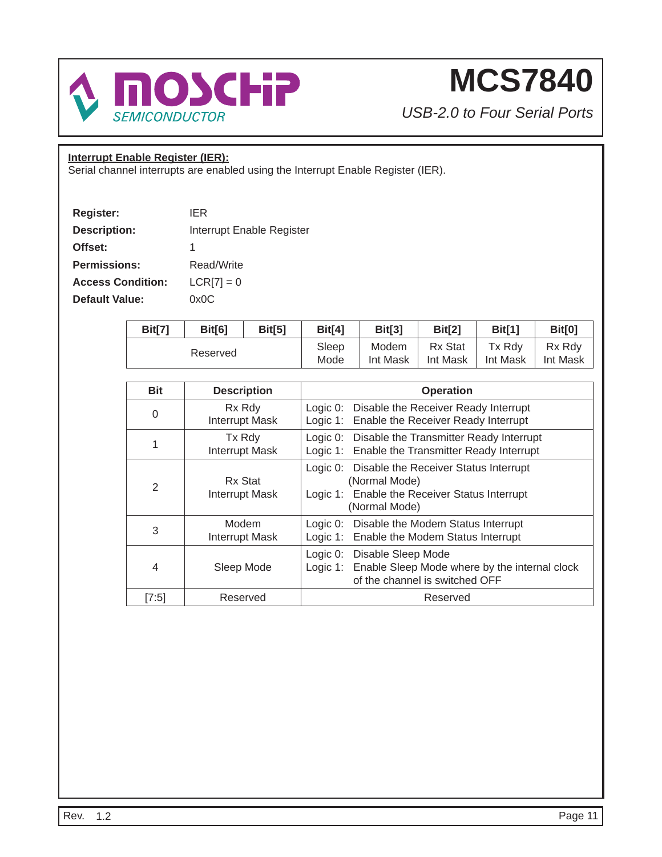

*USB-2.0 to Four Serial Ports*

### **Interrupt Enable Register (IER):**

Serial channel interrupts are enabled using the Interrupt Enable Register (IER).

| <b>Register:</b>         | IFR                       |
|--------------------------|---------------------------|
| <b>Description:</b>      | Interrupt Enable Register |
| Offset:                  | 1                         |
| <b>Permissions:</b>      | Read/Write                |
| <b>Access Condition:</b> | $LCR[7] = 0$              |
| <b>Default Value:</b>    | 0x0C                      |

| Bit[7]   | Bit[6] | Bit[5] | <b>Bit[4]</b> | Bit[3]   | Bit <sub>[2]</sub> | <b>Bit[1]</b> | <b>Bit[0]</b> |
|----------|--------|--------|---------------|----------|--------------------|---------------|---------------|
| Reserved |        |        | Sleep         | Modem    | Rx Stat            | Tx Rdy        | Rx Rdv        |
|          |        |        | Mode          | Int Mask | Int Mask           | Int Mask      | Int Mask      |

| <b>Bit</b> | <b>Description</b>               | <b>Operation</b>                                                                                                                  |
|------------|----------------------------------|-----------------------------------------------------------------------------------------------------------------------------------|
| 0          | Rx Rdy<br><b>Interrupt Mask</b>  | Logic 0: Disable the Receiver Ready Interrupt<br>Logic 1: Enable the Receiver Ready Interrupt                                     |
| 1          | Tx Rdy<br><b>Interrupt Mask</b>  | Logic 0: Disable the Transmitter Ready Interrupt<br>Logic 1: Enable the Transmitter Ready Interrupt                               |
| 2          | Rx Stat<br><b>Interrupt Mask</b> | Logic 0: Disable the Receiver Status Interrupt<br>(Normal Mode)<br>Logic 1: Enable the Receiver Status Interrupt<br>(Normal Mode) |
| 3          | Modem<br><b>Interrupt Mask</b>   | Logic 0: Disable the Modem Status Interrupt<br>Logic 1: Enable the Modem Status Interrupt                                         |
| 4          | Sleep Mode                       | Logic 0: Disable Sleep Mode<br>Logic 1: Enable Sleep Mode where by the internal clock<br>of the channel is switched OFF           |
| [7:5]      | Reserved                         | Reserved                                                                                                                          |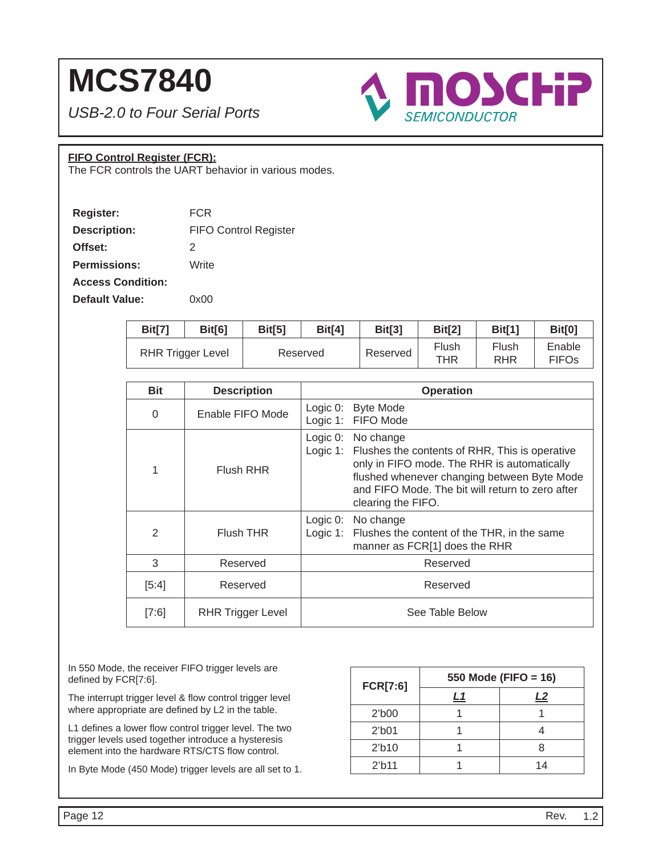*USB-2.0 to Four Serial Ports*



### **FIFO Control Register (FCR):**

The FCR controls the UART behavior in various modes.

| Register:                | <b>FCR</b>                   |
|--------------------------|------------------------------|
| <b>Description:</b>      | <b>FIFO Control Register</b> |
| Offset:                  | 2                            |
| <b>Permissions:</b>      | Write                        |
| <b>Access Condition:</b> |                              |
| Default Value:           | 0x00                         |

| Bit[7] | Bit[6]                   | Bit[5]   | Bit[4] | Bit[3]   | Bit[2]       | <b>Bit[1]</b> | Bit[0]                 |
|--------|--------------------------|----------|--------|----------|--------------|---------------|------------------------|
|        | <b>RHR Trigger Level</b> | Reserved |        | Reserved | Flush<br>THR | Flush<br>RHR  | Enable<br><b>FIFOs</b> |

| <b>Bit</b>    | <b>Description</b>       | <b>Operation</b>                                                                                                                                                                                                                                            |
|---------------|--------------------------|-------------------------------------------------------------------------------------------------------------------------------------------------------------------------------------------------------------------------------------------------------------|
| $\Omega$      | Enable FIFO Mode         | Logic $0$ :<br><b>Byte Mode</b><br>Logic 1: FIFO Mode                                                                                                                                                                                                       |
| 1             | Flush RHR                | Logic $0$ :<br>No change<br>Logic 1: Flushes the contents of RHR, This is operative<br>only in FIFO mode. The RHR is automatically<br>flushed whenever changing between Byte Mode<br>and FIFO Mode. The bit will return to zero after<br>clearing the FIFO. |
| $\mathcal{P}$ | Flush THR                | Logic $0$ :<br>No change<br>Logic 1: Flushes the content of the THR, in the same<br>manner as FCR[1] does the RHR                                                                                                                                           |
| 3             | Reserved                 | Reserved                                                                                                                                                                                                                                                    |
| [5:4]         | Reserved                 | Reserved                                                                                                                                                                                                                                                    |
| [7:6]         | <b>RHR Trigger Level</b> | See Table Below                                                                                                                                                                                                                                             |

In 550 Mode, the receiver FIFO trigger levels are defined by FCR[7:6].

The interrupt trigger level & flow control trigger level where appropriate are defined by L2 in the table.

L1 defines a lower flow control trigger level. The two trigger levels used together introduce a hysteresis element into the hardware RTS/CTS flow control.

In Byte Mode (450 Mode) trigger levels are all set to 1.

| <b>FCR[7:6]</b>    | 550 Mode (FIFO = 16) |    |  |
|--------------------|----------------------|----|--|
|                    | L1                   | L2 |  |
| $21$ b $00$        |                      |    |  |
| $21$ b $01$        |                      |    |  |
| 2 <sup>′</sup> b10 |                      |    |  |
| 2 <sup>th</sup> 11 |                      | 14 |  |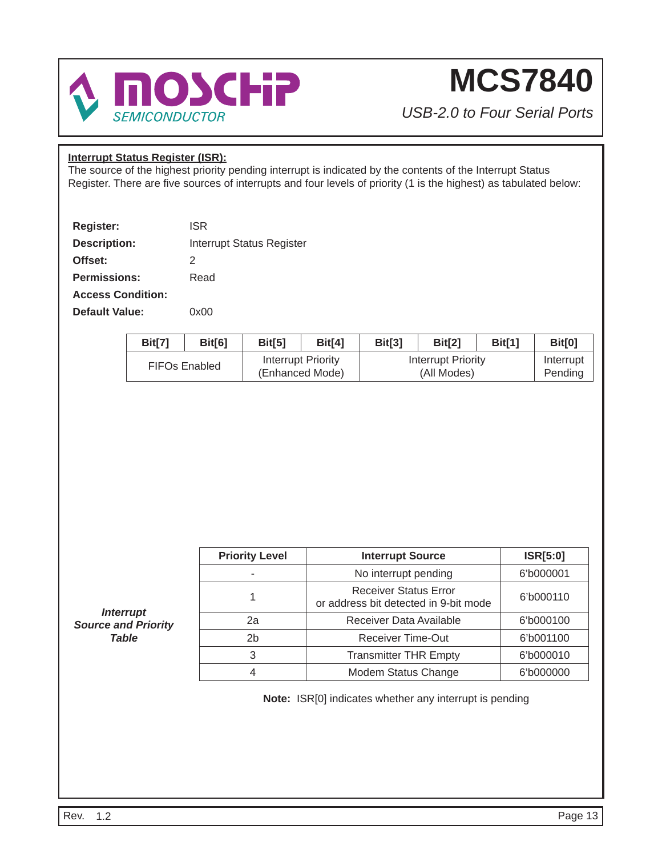

*USB-2.0 to Four Serial Ports*

### **Interrupt Status Register (ISR):**

The source of the highest priority pending interrupt is indicated by the contents of the Interrupt Status Register. There are five sources of interrupts and four levels of priority (1 is the highest) as tabulated below:

| Register:                | <b>ISR</b>                       |
|--------------------------|----------------------------------|
| <b>Description:</b>      | <b>Interrupt Status Register</b> |
| Offset:                  | 2                                |
| <b>Permissions:</b>      | Read                             |
| <b>Access Condition:</b> |                                  |
| <b>Default Value:</b>    | ი×იი                             |

| <b>Bit[7]</b> | Bit[6]               | Bit[5] | Bit <sup>[4]</sup>                    | Bit[3] | Bit <sup>[2]</sup>                | Bit[1] | Bit[0]               |
|---------------|----------------------|--------|---------------------------------------|--------|-----------------------------------|--------|----------------------|
|               | <b>FIFOs Enabled</b> |        | Interrupt Priority<br>(Enhanced Mode) |        | Interrupt Priority<br>(All Modes) |        | Interrupt<br>Pending |

| <b>Priority Level</b> | <b>Interrupt Source</b>                                               | <b>ISR[5:0]</b> |
|-----------------------|-----------------------------------------------------------------------|-----------------|
|                       | No interrupt pending                                                  | 6'b000001       |
|                       | <b>Receiver Status Error</b><br>or address bit detected in 9-bit mode | 6'b000110       |
| 2a                    | Receiver Data Available                                               | 6'b000100       |
| 2 <sub>b</sub>        | <b>Receiver Time-Out</b>                                              | 6'b001100       |
| 3                     | <b>Transmitter THR Empty</b>                                          | 6'b000010       |
|                       | Modem Status Change                                                   | 6'b000000       |

**Note:** ISR[0] indicates whether any interrupt is pending

*Interrupt Source and Priority Table*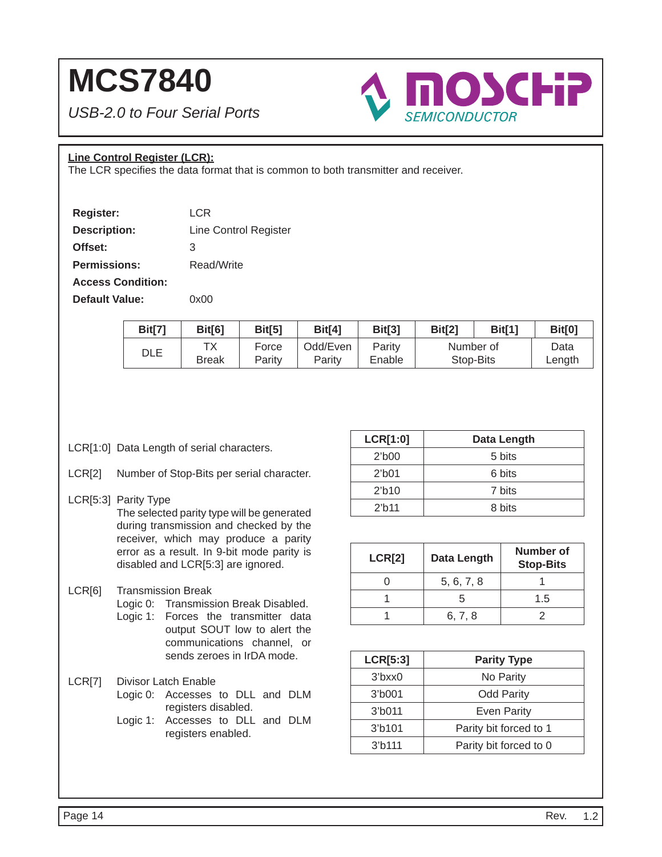*USB-2.0 to Four Serial Ports*



### **Line Control Register (LCR):**

The LCR specifies the data format that is common to both transmitter and receiver.

| <b>Register:</b>         | LCR                   |
|--------------------------|-----------------------|
| <b>Description:</b>      | Line Control Register |
| Offset:                  | 3                     |
| <b>Permissions:</b>      | Read/Write            |
| <b>Access Condition:</b> |                       |
| <b>Default Value:</b>    | 0x00                  |

| Bit[7] | Bit[6]             | Bit[5]          | <b>Bit[4]</b>      | Bit[3]           | Bit[2]    | Bit[1]    | <b>Bit[0]</b>  |
|--------|--------------------|-----------------|--------------------|------------------|-----------|-----------|----------------|
| DLE    | ТX<br><b>Break</b> | Force<br>Parity | Odd/Even<br>Parity | Parity<br>Enable | Number of | Stop-Bits | Data<br>Length |

- LCR[1:0] Data Length of serial characters.
- LCR[2] Number of Stop-Bits per serial character.

### LCR[5:3] Parity Type The selected parity type will be generated during transmission and checked by the receiver, which may produce a parity error as a result. In 9-bit mode parity is disabled and LCR[5:3] are ignored.

- LCR[6] Transmission Break
	- Logic 0: Transmission Break Disabled. Logic 1: Forces the transmitter data output SOUT low to alert the communications channel, or sends zeroes in IrDA mode.
- LCR[7] Divisor Latch Enable
	- Logic 0: Accesses to DLL and DLM registers disabled.
	- Logic 1: Accesses to DLL and DLM registers enabled.

| <b>LCR[1:0]</b>    | Data Length |
|--------------------|-------------|
| $21$ b $00$        | 5 bits      |
| $2′$ b $01$        | 6 bits      |
| 2 <sup>h</sup> 10  | 7 bits      |
| 2 <sup>th</sup> 11 | 8 bits      |

| <b>LCR[2]</b> | Data Length | Number of<br><b>Stop-Bits</b> |
|---------------|-------------|-------------------------------|
|               | 5, 6, 7, 8  |                               |
|               |             | 1.5                           |
|               | 6, 7, 8     |                               |

| <b>LCR[5:3]</b>     | <b>Parity Type</b>     |  |  |  |
|---------------------|------------------------|--|--|--|
| $3$ bxx $0$         | No Parity              |  |  |  |
| $3′$ b001           | <b>Odd Parity</b>      |  |  |  |
| 3 <sup>′</sup> b011 | <b>Even Parity</b>     |  |  |  |
| 3 <sup>′</sup> b101 | Parity bit forced to 1 |  |  |  |
| 3 <sup>′</sup> b111 | Parity bit forced to 0 |  |  |  |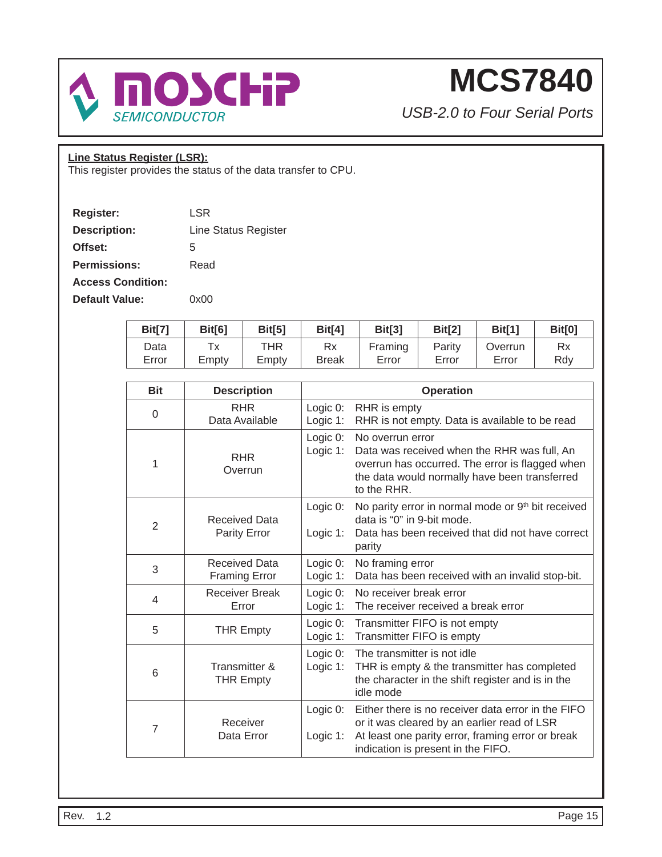

*USB-2.0 to Four Serial Ports*

### **Line Status Register (LSR):**

This register provides the status of the data transfer to CPU.

| Register:                | LSR                  |
|--------------------------|----------------------|
| <b>Description:</b>      | Line Status Register |
| Offset:                  | 5                    |
| <b>Permissions:</b>      | Read                 |
| <b>Access Condition:</b> |                      |
| Default Value:           | ი×იი                 |

| <b>Bit[7]</b> | Bit[6] | Bit[5] | Bit[4]       | Bit[3]  | Bit[2] | Bit[1]  | <b>Bit[0]</b> |
|---------------|--------|--------|--------------|---------|--------|---------|---------------|
| Data          | Тx     | THR    | Rx           | Framing | Parity | Overrun | Rx            |
| Error         | Empty  | Empty  | <b>Break</b> | Error   | Error  | Error   | Rdv           |

| <b>Bit</b>     | <b>Description</b>                           |                         | <b>Operation</b>                                                                                                                                                                             |
|----------------|----------------------------------------------|-------------------------|----------------------------------------------------------------------------------------------------------------------------------------------------------------------------------------------|
| $\Omega$       | <b>RHR</b><br>Data Available                 | Logic 0:<br>Logic 1:    | RHR is empty<br>RHR is not empty. Data is available to be read                                                                                                                               |
| 1              | <b>RHR</b><br>Overrun                        | Logic 0:<br>Logic 1:    | No overrun error<br>Data was received when the RHR was full, An<br>overrun has occurred. The error is flagged when<br>the data would normally have been transferred<br>to the RHR.           |
| $\overline{2}$ | <b>Received Data</b><br>Parity Error         | Logic 0:<br>Logic $1$ : | No parity error in normal mode or 9 <sup>th</sup> bit received<br>data is "0" in 9-bit mode.<br>Data has been received that did not have correct<br>parity                                   |
| 3              | <b>Received Data</b><br><b>Framing Error</b> | Logic 0:<br>Logic 1:    | No framing error<br>Data has been received with an invalid stop-bit.                                                                                                                         |
| $\overline{4}$ | <b>Receiver Break</b><br>Error               | Logic 0:<br>Logic 1:    | No receiver break error<br>The receiver received a break error                                                                                                                               |
| 5              | <b>THR Empty</b>                             | Logic 0:<br>Logic 1:    | Transmitter FIFO is not empty<br>Transmitter FIFO is empty                                                                                                                                   |
| 6              | Transmitter &<br><b>THR Empty</b>            | Logic 0:<br>Logic 1:    | The transmitter is not idle<br>THR is empty & the transmitter has completed<br>the character in the shift register and is in the<br>idle mode                                                |
| 7              | Receiver<br>Data Error                       | Logic 0:<br>Logic $1$ : | Either there is no receiver data error in the FIFO<br>or it was cleared by an earlier read of LSR<br>At least one parity error, framing error or break<br>indication is present in the FIFO. |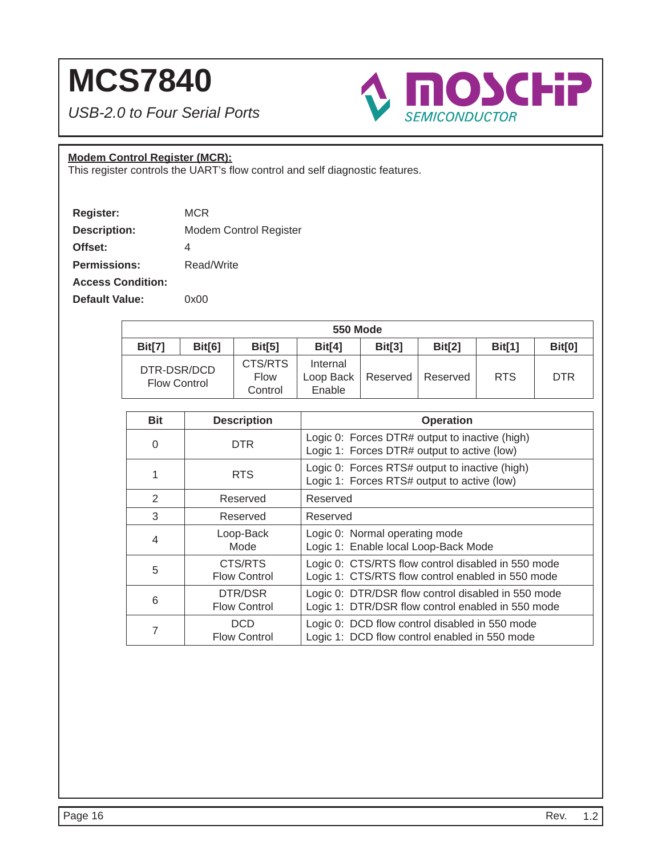*USB-2.0 to Four Serial Ports*



### **Modem Control Register (MCR):**

This register controls the UART's flow control and self diagnostic features.

| Register:                | MCR                           |
|--------------------------|-------------------------------|
| <b>Description:</b>      | <b>Modem Control Register</b> |
| Offset:                  | 4                             |
| <b>Permissions:</b>      | Read/Write                    |
| <b>Access Condition:</b> |                               |
| <b>Default Value:</b>    | 0x00                          |

|                                    | <b>550 Mode</b> |                            |                                 |          |               |               |            |  |  |
|------------------------------------|-----------------|----------------------------|---------------------------------|----------|---------------|---------------|------------|--|--|
| <b>Bit[7]</b>                      | Bit[6]          | Bit[5]                     | Bit[4]                          | Bit[3]   | <b>Bit[2]</b> | <b>Bit[1]</b> | Bit[0]     |  |  |
| DTR-DSR/DCD<br><b>Flow Control</b> |                 | CTS/RTS<br>Flow<br>Control | Internal<br>Loop Back<br>Enable | Reserved | Reserved      | <b>RTS</b>    | <b>DTR</b> |  |  |

| <b>Bit</b>     | <b>Description</b>                | <b>Operation</b>                                                                                        |
|----------------|-----------------------------------|---------------------------------------------------------------------------------------------------------|
| $\overline{0}$ | DTR.                              | Logic 0: Forces DTR# output to inactive (high)<br>Logic 1: Forces DTR# output to active (low)           |
| 1              | <b>RTS</b>                        | Logic 0: Forces RTS# output to inactive (high)<br>Logic 1: Forces RTS# output to active (low)           |
| 2              | Reserved                          | Reserved                                                                                                |
| 3              | Reserved                          | Reserved                                                                                                |
| $\overline{4}$ | Loop-Back<br>Mode                 | Logic 0: Normal operating mode<br>Logic 1: Enable local Loop-Back Mode                                  |
| 5              | CTS/RTS<br><b>Flow Control</b>    | Logic 0: CTS/RTS flow control disabled in 550 mode<br>Logic 1: CTS/RTS flow control enabled in 550 mode |
| 6              | DTR/DSR<br><b>Flow Control</b>    | Logic 0: DTR/DSR flow control disabled in 550 mode<br>Logic 1: DTR/DSR flow control enabled in 550 mode |
| 7              | <b>DCD</b><br><b>Flow Control</b> | Logic 0: DCD flow control disabled in 550 mode<br>Logic 1: DCD flow control enabled in 550 mode         |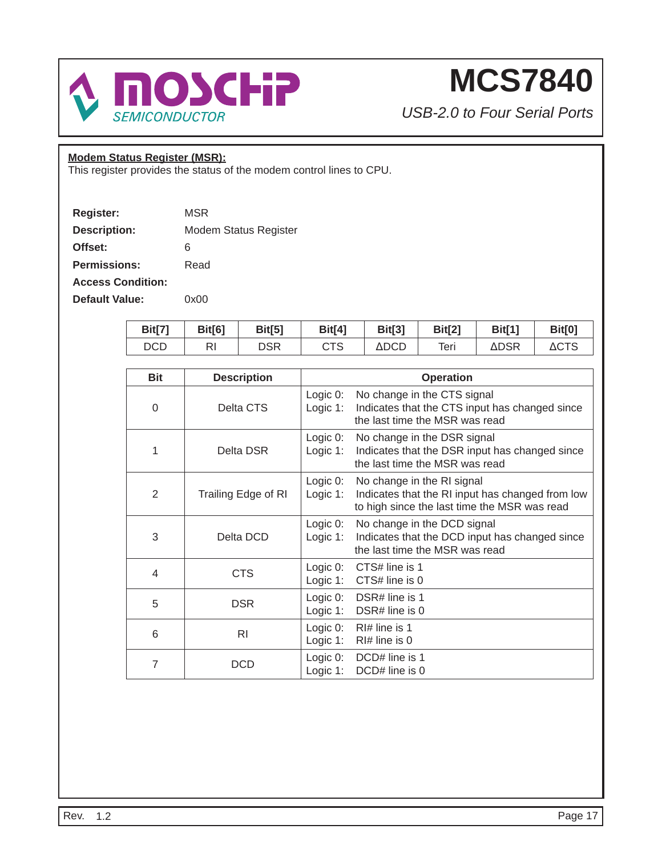

*USB-2.0 to Four Serial Ports*

### **Modem Status Register (MSR):**

This register provides the status of the modem control lines to CPU.

| Register:                | MSR                   |
|--------------------------|-----------------------|
| <b>Description:</b>      | Modem Status Register |
| Offset:                  | 6                     |
| <b>Permissions:</b>      | Read                  |
| <b>Access Condition:</b> |                       |
| Default Value:           | 0x00                  |

| <b>Bit[7]</b> | <b>Bit[6]</b> | <b>Bit[5]</b> | Bit[4] | <b>Bit[3]</b> | <b>Bit[2]</b> | Bit[1] | <b>Bit[0]</b>   |
|---------------|---------------|---------------|--------|---------------|---------------|--------|-----------------|
| DCD           | RI            | DSR           | CTS    | ΔDCD          | Teri          | ∆DSR   | $\triangle$ CTS |

| <b>Bit</b>     | <b>Description</b>  | <b>Operation</b>                                                                                                                                             |
|----------------|---------------------|--------------------------------------------------------------------------------------------------------------------------------------------------------------|
| $\Omega$       | Delta CTS           | Logic $0$ :<br>No change in the CTS signal<br>Indicates that the CTS input has changed since<br>Logic $1$ :<br>the last time the MSR was read                |
| 1              | Delta DSR           | Logic $0$ :<br>No change in the DSR signal<br>Logic $1$ :<br>Indicates that the DSR input has changed since<br>the last time the MSR was read                |
| 2              | Trailing Edge of RI | Logic $0$ :<br>No change in the RI signal<br>Logic $1$ :<br>Indicates that the RI input has changed from low<br>to high since the last time the MSR was read |
| 3              | Delta DCD           | Logic 0:<br>No change in the DCD signal<br>Indicates that the DCD input has changed since<br>Logic 1:<br>the last time the MSR was read                      |
| 4              | <b>CTS</b>          | Logic 0:<br>CTS# line is 1<br>Logic $1$ :<br>CTS# line is 0                                                                                                  |
| 5              | <b>DSR</b>          | Logic 0:<br>DSR# line is 1<br>Logic 1:<br>DSR# line is 0                                                                                                     |
| 6              | <b>RI</b>           | Logic $0$ :<br>$R$  # line is 1<br>Logic $1$ :<br>$RI#$ line is 0                                                                                            |
| $\overline{7}$ | DCD                 | Logic 0:<br>DCD# line is 1<br>Logic $1$ :<br>DCD# line is 0                                                                                                  |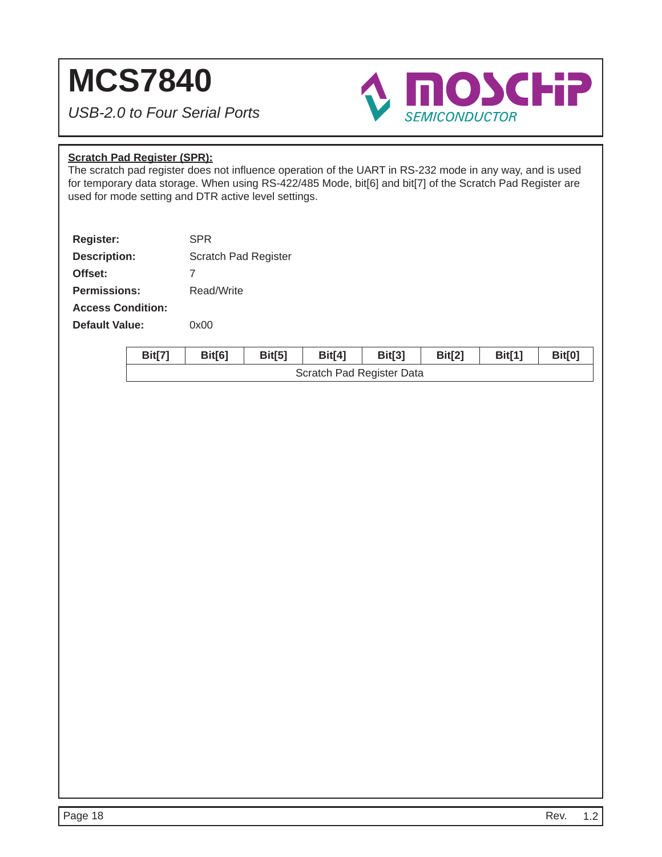*USB-2.0 to Four Serial Ports*



### **Scratch Pad Register (SPR):**

The scratch pad register does not influence operation of the UART in RS-232 mode in any way, and is used for temporary data storage. When using RS-422/485 Mode, bit[6] and bit[7] of the Scratch Pad Register are used for mode setting and DTR active level settings.

| <b>Register:</b>         | <b>SPR</b>           |
|--------------------------|----------------------|
| <b>Description:</b>      | Scratch Pad Register |
| Offset:                  | 7                    |
| <b>Permissions:</b>      | Read/Write           |
| <b>Access Condition:</b> |                      |
| <b>Default Value:</b>    | 0x00                 |
|                          |                      |

| Bit[7] | Bit[6] | Bit[5] | <b>Bit[4]</b> | Bit[3]                    | <b>Bit[2]</b> | <b>Bit[1]</b> | Bit[0] |  |  |  |  |
|--------|--------|--------|---------------|---------------------------|---------------|---------------|--------|--|--|--|--|
|        |        |        |               | Scratch Pad Register Data |               |               |        |  |  |  |  |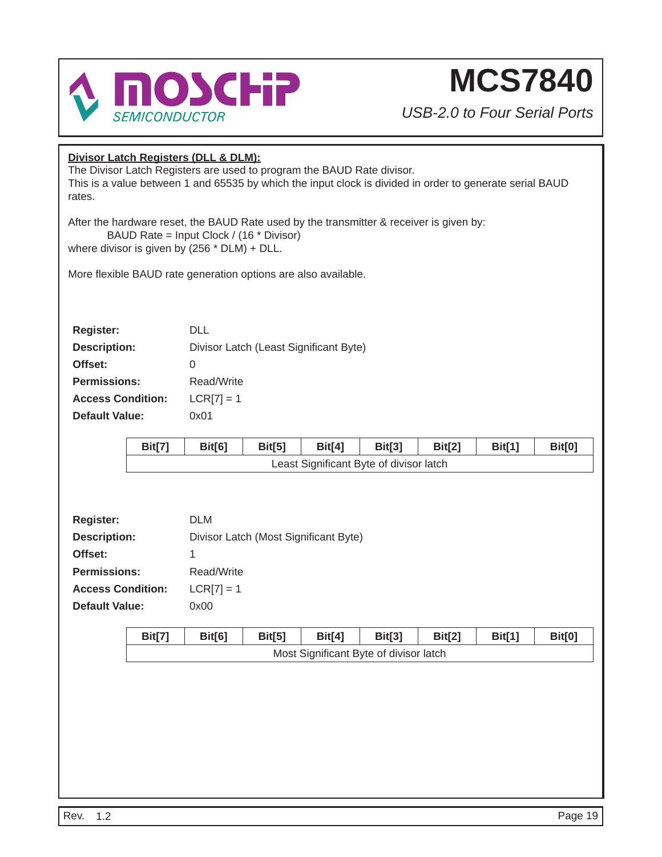

*USB-2.0 to Four Serial Ports*

### **Divisor Latch Registers (DLL & DLM):**

The Divisor Latch Registers are used to program the BAUD Rate divisor. This is a value between 1 and 65535 by which the input clock is divided in order to generate serial BAUD rates.

After the hardware reset, the BAUD Rate used by the transmitter & receiver is given by: BAUD Rate = Input Clock / (16 \* Divisor) where divisor is given by (256 \* DLM) + DLL.

More flexible BAUD rate generation options are also available.

| <b>Register:</b>         | DI L                                   |
|--------------------------|----------------------------------------|
| <b>Description:</b>      | Divisor Latch (Least Significant Byte) |
| Offset:                  | O                                      |
| <b>Permissions:</b>      | Read/Write                             |
| <b>Access Condition:</b> | $LCR[7] = 1$                           |
| <b>Default Value:</b>    | 0x01                                   |

| Bit[7] | Bit[6] | Bit[5] | <b>Bit[4]</b> | Bit[3]                                  | Bit[2] | <b>Bit[1]</b> | <b>Bit[0]</b> |
|--------|--------|--------|---------------|-----------------------------------------|--------|---------------|---------------|
|        |        |        |               | Least Significant Byte of divisor latch |        |               |               |

| Register:                | <b>DLM</b>                            |
|--------------------------|---------------------------------------|
| <b>Description:</b>      | Divisor Latch (Most Significant Byte) |
| Offset:                  | 1                                     |
| <b>Permissions:</b>      | Read/Write                            |
| <b>Access Condition:</b> | $LCR[7] = 1$                          |
| <b>Default Value:</b>    | 0x00                                  |

| Bit[7]                                 | Bit[6] | Bit[5] | <b>Bit[4]</b> | <b>Bit[3]</b> | Bit[2] | <b>Bit[1]</b> | Bit[0] |
|----------------------------------------|--------|--------|---------------|---------------|--------|---------------|--------|
| Most Significant Byte of divisor latch |        |        |               |               |        |               |        |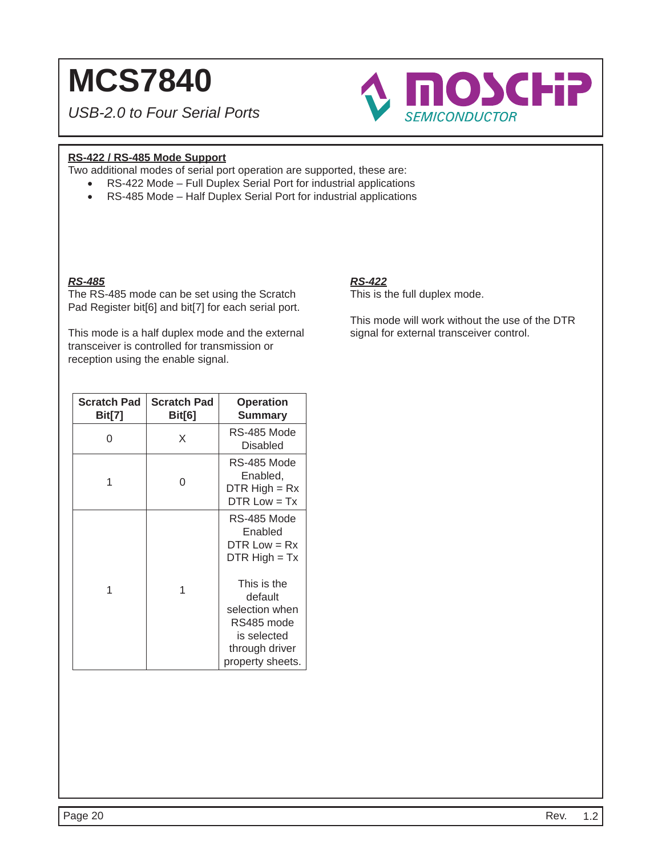*USB-2.0 to Four Serial Ports*



### **RS-422 / RS-485 Mode Support**

Two additional modes of serial port operation are supported, these are:

- RS-422 Mode Full Duplex Serial Port for industrial applications
- RS-485 Mode Half Duplex Serial Port for industrial applications

### *RS-485*

The RS-485 mode can be set using the Scratch Pad Register bit[6] and bit[7] for each serial port.

This mode is a half duplex mode and the external transceiver is controlled for transmission or reception using the enable signal.

### *RS-422*

This is the full duplex mode.

This mode will work without the use of the DTR signal for external transceiver control.

| <b>Scratch Pad</b><br><b>Bit[7]</b> | <b>Scratch Pad</b><br><b>Bit[6]</b> | <b>Operation</b><br><b>Summary</b>                                                                                                                                         |
|-------------------------------------|-------------------------------------|----------------------------------------------------------------------------------------------------------------------------------------------------------------------------|
| 0                                   | X                                   | RS-485 Mode<br><b>Disabled</b>                                                                                                                                             |
| 1                                   | ∩                                   | RS-485 Mode<br>Enabled,<br>$DTR High = Rx$<br>$DTR Low = Tx$                                                                                                               |
| 1                                   | 1                                   | RS-485 Mode<br>Enabled<br>$DTR Low = Rx$<br>$DTR$ High = Tx<br>This is the<br>default<br>selection when<br>RS485 mode<br>is selected<br>through driver<br>property sheets. |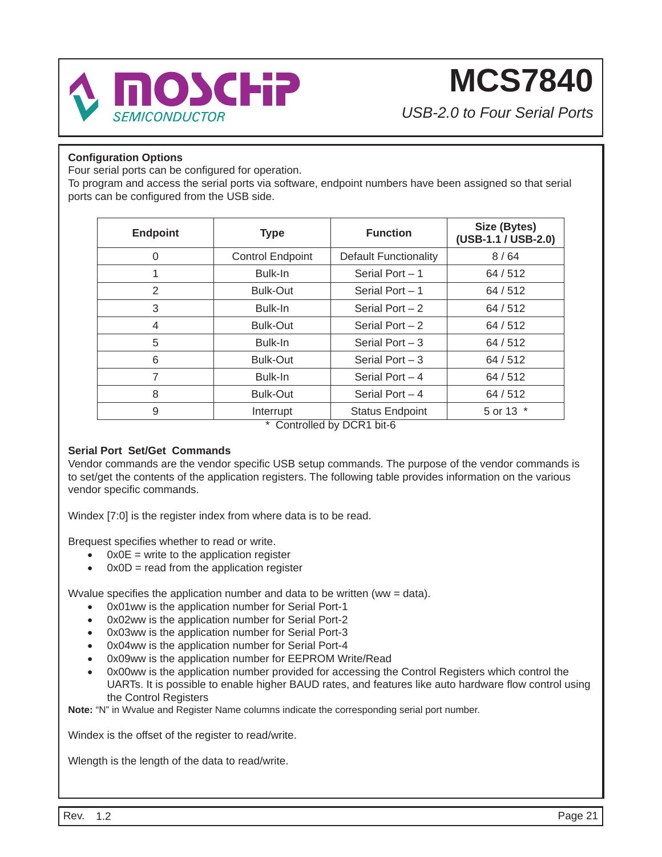

*USB-2.0 to Four Serial Ports*

### **Confi guration Options**

Four serial ports can be configured for operation.

To program and access the serial ports via software, endpoint numbers have been assigned so that serial ports can be configured from the USB side.

| <b>Endpoint</b> | <b>Type</b>             | <b>Function</b>                                      | Size (Bytes)<br>(USB-1.1 / USB-2.0) |
|-----------------|-------------------------|------------------------------------------------------|-------------------------------------|
| $\Omega$        | <b>Control Endpoint</b> | <b>Default Functionality</b>                         | 8/64                                |
| 1               | Bulk-In                 | Serial Port $-1$                                     | 64/512                              |
| 2               | <b>Bulk-Out</b>         | Serial Port $-1$                                     | 64/512                              |
| 3               | Bulk-In                 | Serial Port $-2$                                     | 64/512                              |
| 4               | <b>Bulk-Out</b>         | Serial Port $-2$                                     | 64/512                              |
| 5               | Bulk-In                 | Serial Port $-3$                                     | 64/512                              |
| 6               | <b>Bulk-Out</b>         | Serial Port $-3$                                     | 64/512                              |
| 7               | Bulk-In                 | Serial Port $-4$                                     | 64/512                              |
| 8               | <b>Bulk-Out</b>         | Serial Port $-4$                                     | 64/512                              |
| 9               | Interrupt               | <b>Status Endpoint</b><br>* Controlled by DCD1 bit C | 5 or 13 *                           |

Controlled by DCR1 bit-6

### **Serial Port Set/Get Commands**

Vendor commands are the vendor specific USB setup commands. The purpose of the vendor commands is to set/get the contents of the application registers. The following table provides information on the various vendor specific commands.

Windex [7:0] is the register index from where data is to be read.

Brequest specifies whether to read or write.

- $\bullet$  0x0E = write to the application register
- $0x0D$  = read from the application register

Wyalue specifies the application number and data to be written (ww = data).

- 0x01ww is the application number for Serial Port-1
- 0x02ww is the application number for Serial Port-2
- 0x03ww is the application number for Serial Port-3
- 0x04ww is the application number for Serial Port-4
- 0x09ww is the application number for EEPROM Write/Read
- 0x00ww is the application number provided for accessing the Control Registers which control the UARTs. It is possible to enable higher BAUD rates, and features like auto hardware flow control using the Control Registers

**Note:** "N" in Wvalue and Register Name columns indicate the corresponding serial port number.

Windex is the offset of the register to read/write.

Wlength is the length of the data to read/write.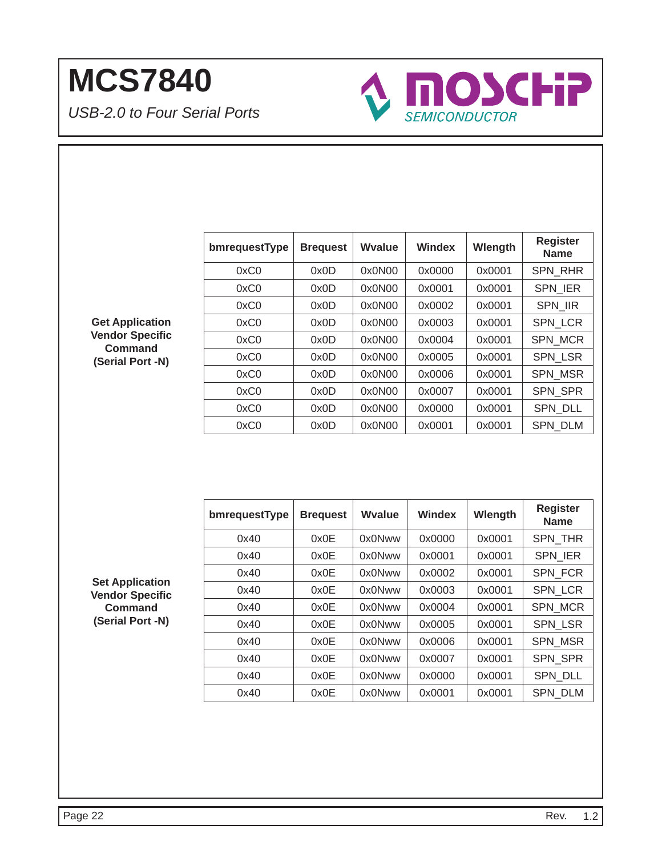*USB-2.0 to Four Serial Ports*



| bmrequestType | <b>Brequest</b> | Wyalue | <b>Windex</b> | Wlength | <b>Register</b><br><b>Name</b> |
|---------------|-----------------|--------|---------------|---------|--------------------------------|
| 0xC0          | 0x0D            | 0x0N00 | 0x0000        | 0x0001  | SPN_RHR                        |
| 0xC0          | 0x0D            | 0x0N00 | 0x0001        | 0x0001  | <b>SPN IER</b>                 |
| 0xC0          | 0x0D            | 0x0N00 | 0x0002        | 0x0001  | SPN_IIR                        |
| 0xC0          | 0x0D            | 0x0N00 | 0x0003        | 0x0001  | <b>SPN LCR</b>                 |
| 0xC0          | 0x0D            | 0x0N00 | 0x0004        | 0x0001  | <b>SPN MCR</b>                 |
| 0xC0          | 0x0D            | 0x0N00 | 0x0005        | 0x0001  | <b>SPN LSR</b>                 |
| 0xC0          | 0x0D            | 0x0N00 | 0x0006        | 0x0001  | <b>SPN MSR</b>                 |
| 0xC0          | 0x0D            | 0x0N00 | 0x0007        | 0x0001  | SPN SPR                        |
| 0xC0          | 0x0D            | 0x0N00 | 0x0000        | 0x0001  | <b>SPN DLL</b>                 |
| 0xC0          | 0x0D            | 0x0N00 | 0x0001        | 0x0001  | <b>SPN DLM</b>                 |

**Get Application Vendor Specifi c Command (Serial Port -N)**

| bmrequestType | <b>Brequest</b> | <b>Wyalue</b> | Windex | Wlength | <b>Register</b><br><b>Name</b> |
|---------------|-----------------|---------------|--------|---------|--------------------------------|
| 0x40          | 0x0E            | 0x0Nww        | 0x0000 | 0x0001  | <b>SPN THR</b>                 |
| 0x40          | 0x0E            | 0x0Nww        | 0x0001 | 0x0001  | <b>SPN IER</b>                 |
| 0x40          | 0x0E            | 0x0Nww        | 0x0002 | 0x0001  | <b>SPN FCR</b>                 |
| 0x40          | 0x0E            | 0x0Nww        | 0x0003 | 0x0001  | <b>SPN LCR</b>                 |
| 0x40          | 0x0E            | 0x0Nww        | 0x0004 | 0x0001  | <b>SPN MCR</b>                 |
| 0x40          | 0x0E            | 0x0Nww        | 0x0005 | 0x0001  | <b>SPN LSR</b>                 |
| 0x40          | 0x0E            | 0x0Nww        | 0x0006 | 0x0001  | <b>SPN MSR</b>                 |
| 0x40          | 0x0E            | 0x0Nww        | 0x0007 | 0x0001  | <b>SPN SPR</b>                 |
| 0x40          | 0x0E            | 0x0Nww        | 0x0000 | 0x0001  | <b>SPN DLL</b>                 |
| 0x40          | 0x0E            | 0x0Nww        | 0x0001 | 0x0001  | <b>SPN DLM</b>                 |

**Set Application Vendor Specifi c Command (Serial Port -N)**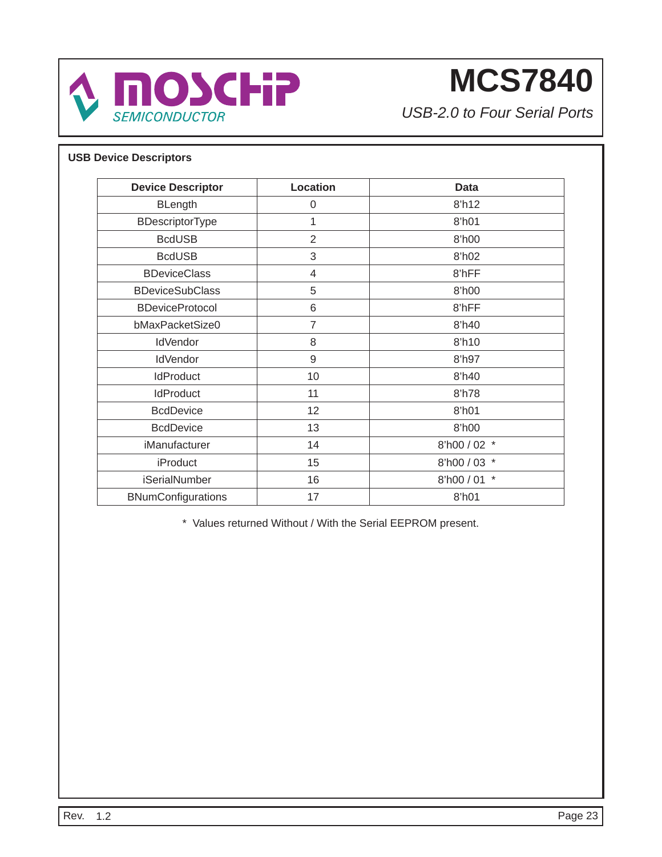

*USB-2.0 to Four Serial Ports*

### **USB Device Descriptors**

| <b>Device Descriptor</b> | <b>Location</b> | Data                  |
|--------------------------|-----------------|-----------------------|
| <b>BLength</b>           | 0               | 8'h12                 |
| BDescriptorType          | 1               | 8'h01                 |
| <b>BcdUSB</b>            | $\overline{2}$  | 8'h00                 |
| <b>BcdUSB</b>            | 3               | 8'h02                 |
| <b>BDeviceClass</b>      | 4               | 8'hFF                 |
| <b>BDeviceSubClass</b>   | 5               | 8'h00                 |
| <b>BDeviceProtocol</b>   | 6               | 8'hFF                 |
| bMaxPacketSize0          | $\overline{7}$  | 8'h40                 |
| <b>IdVendor</b>          | 8               | 8'h10                 |
| <b>IdVendor</b>          | 9               | 8'h97                 |
| <b>IdProduct</b>         | 10              | 8'h40                 |
| <b>IdProduct</b>         | 11              | 8'h78                 |
| <b>BcdDevice</b>         | 12              | 8'h01                 |
| <b>BcdDevice</b>         | 13              | 8'h00                 |
| iManufacturer            | 14              | 8'h00 / 02 *          |
| iProduct                 | 15              | 8'h00 / 03 *          |
| <b>iSerialNumber</b>     | 16              | $\star$<br>8'h00 / 01 |
| BNumConfigurations       | 17              | 8'h01                 |

\* Values returned Without / With the Serial EEPROM present.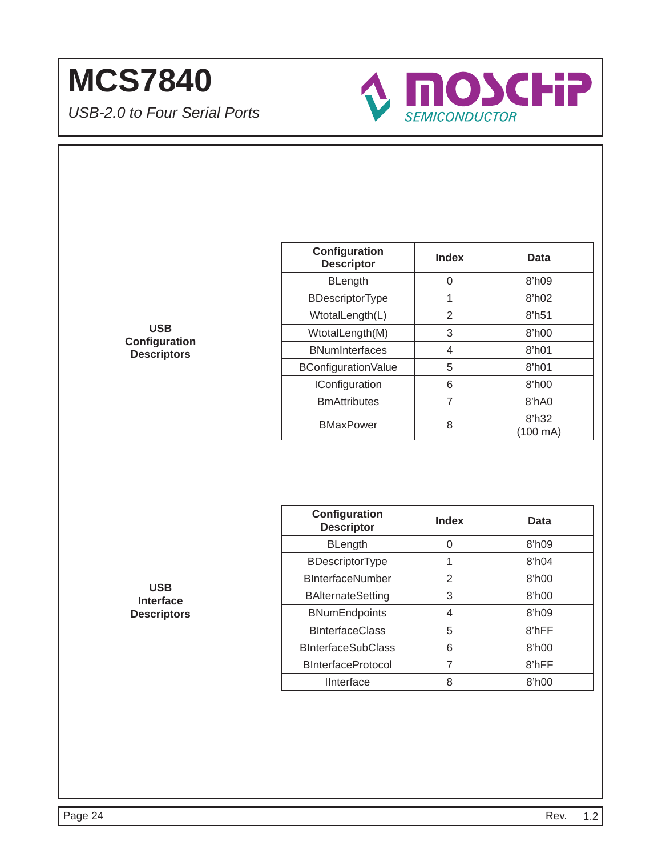*USB-2.0 to Four Serial Ports*



**USB Confi guration Descriptors**

| Configuration<br><b>Descriptor</b> | Index | Data                        |
|------------------------------------|-------|-----------------------------|
| <b>BLength</b>                     | 0     | 8'h09                       |
| BDescriptorType                    | 1     | 8 <sup>h</sup> 02           |
| WtotalLength(L)                    | 2     | 8'h51                       |
| WtotalLength(M)                    | 3     | 8'h00                       |
| <b>BNumInterfaces</b>              | 4     | 8 <sup>th</sup> 01          |
| BConfiguration Value               | 5     | 8 <sup>th</sup> 01          |
| <b>IConfiguration</b>              | 6     | 8 <sup>h</sup> 00           |
| <b>BmAttributes</b>                | 7     | 8'hA0                       |
| <b>BMaxPower</b>                   | 8     | 8'h32<br>$(100 \text{ mA})$ |

| Configuration<br><b>Descriptor</b> | <b>Index</b> | Data              |
|------------------------------------|--------------|-------------------|
| <b>BLength</b>                     | ი            | 8 <sup>h</sup> 09 |
| <b>BDescriptorType</b>             | 1            | 8 <sup>h</sup> 04 |
| <b>BInterfaceNumber</b>            | 2            | 8'h00             |
| <b>BAlternateSetting</b>           | 3            | 8'h00             |
| <b>BNumEndpoints</b>               | 4            | 8 <sup>h</sup> 09 |
| <b>BInterfaceClass</b>             | 5            | 8'hFF             |
| <b>BInterfaceSubClass</b>          | 6            | 8'h00             |
| <b>BInterfaceProtocol</b>          | 7            | 8'hFF             |
| <b>IInterface</b>                  | 8            | 8'h00             |

**USB Interface Descriptors**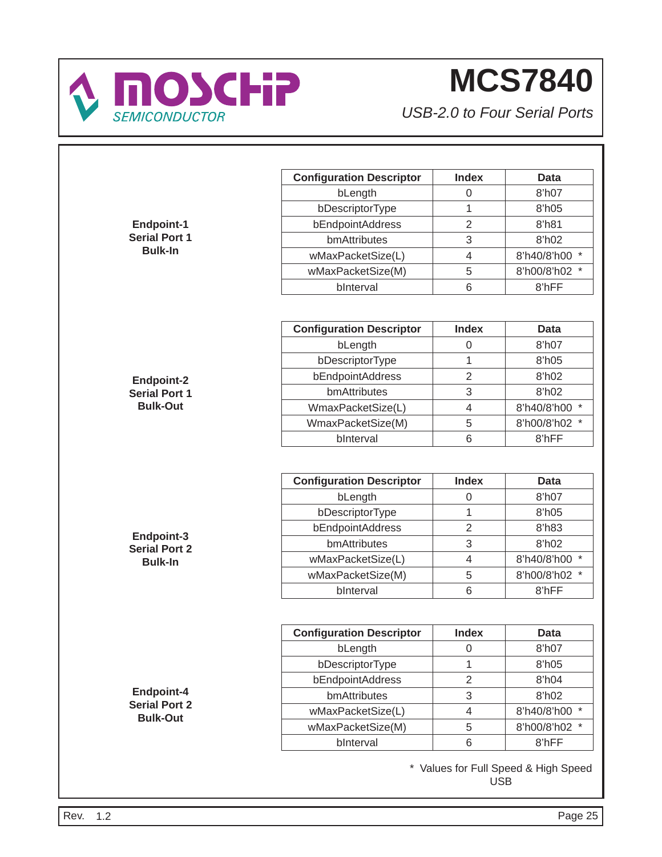

|                                         | <b>Configuration Descriptor</b> | <b>Index</b>     | <b>Data</b>                                        |
|-----------------------------------------|---------------------------------|------------------|----------------------------------------------------|
|                                         | bLength                         | $\mathbf 0$      | 8'h07                                              |
|                                         | bDescriptorType                 | $\mathbf{1}$     | 8'h05                                              |
| Endpoint-1                              | bEndpointAddress                | $\overline{2}$   | 8'h81                                              |
| <b>Serial Port 1</b>                    | bmAttributes                    | 3                | 8'h02                                              |
| <b>Bulk-In</b>                          | wMaxPacketSize(L)               | $\overline{4}$   | 8'h40/8'h00 *                                      |
|                                         | wMaxPacketSize(M)               | 5                | 8'h00/8'h02 *                                      |
|                                         | bInterval                       | 6                | 8'hFF                                              |
|                                         |                                 |                  |                                                    |
|                                         | <b>Configuration Descriptor</b> | <b>Index</b>     | <b>Data</b>                                        |
|                                         | bLength                         | $\boldsymbol{0}$ | 8'h07                                              |
|                                         | bDescriptorType                 | $\mathbf{1}$     | 8'h05                                              |
| <b>Endpoint-2</b>                       | bEndpointAddress                | $\overline{2}$   | 8'h02                                              |
| <b>Serial Port 1</b>                    | bmAttributes                    | 3                | 8'h02                                              |
| <b>Bulk-Out</b>                         | WmaxPacketSize(L)               | $\overline{4}$   | 8'h40/8'h00 *                                      |
|                                         | WmaxPacketSize(M)               | 5                | 8'h00/8'h02 *                                      |
|                                         | bInterval                       | 6                | 8'hFF                                              |
|                                         | <b>Configuration Descriptor</b> | <b>Index</b>     | <b>Data</b>                                        |
|                                         | bLength                         | $\boldsymbol{0}$ | 8'h07                                              |
|                                         | bDescriptorType                 | 1                | 8'h05                                              |
|                                         | bEndpointAddress                | $\overline{2}$   | 8'h83                                              |
| Endpoint-3                              | bmAttributes                    | 3                | 8'h02                                              |
| <b>Serial Port 2</b>                    | wMaxPacketSize(L)               | $\overline{4}$   | 8'h40/8'h00 *                                      |
| <b>Bulk-In</b>                          | wMaxPacketSize(M)               | 5                | 8'h00/8'h02 *                                      |
|                                         | bInterval                       | 6                | 8'hFF                                              |
|                                         |                                 |                  |                                                    |
|                                         | <b>Configuration Descriptor</b> | <b>Index</b>     | <b>Data</b>                                        |
|                                         | bLength                         | $\mathbf 0$      | 8'h07                                              |
|                                         | bDescriptorType                 | $\mathbf{1}$     | 8'h05                                              |
|                                         | bEndpointAddress                | $\overline{2}$   | 8'h04                                              |
| Endpoint-4                              | bmAttributes                    | $\,$ 3 $\,$      | 8'h02                                              |
| <b>Serial Port 2</b><br><b>Bulk-Out</b> | wMaxPacketSize(L)               | $\overline{4}$   | 8'h40/8'h00 *                                      |
|                                         | wMaxPacketSize(M)               | 5                | 8'h00/8'h02 *                                      |
|                                         | bInterval                       | 6                | 8'hFF                                              |
|                                         |                                 |                  | * Values for Full Speed & High Speed<br><b>USB</b> |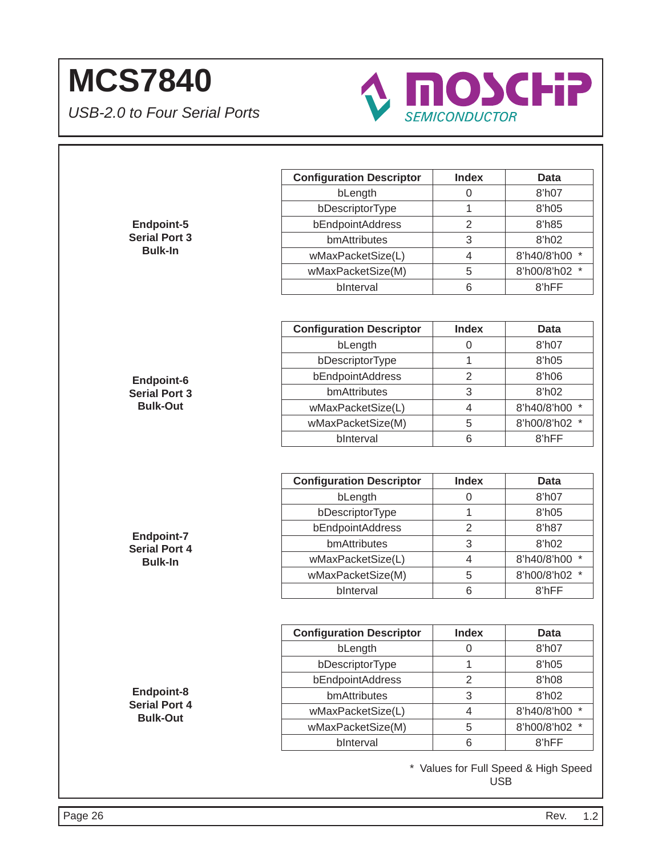

|                      | <b>Configuration Descriptor</b>            | <b>Index</b>        | <b>Data</b>                             |
|----------------------|--------------------------------------------|---------------------|-----------------------------------------|
|                      | bLength                                    | 0                   | 8'h07                                   |
|                      | bDescriptorType                            | 1                   | 8'h05                                   |
| <b>Endpoint-5</b>    | bEndpointAddress                           | $\overline{2}$      | 8'h85                                   |
| <b>Serial Port 3</b> | bmAttributes                               | 3                   | 8'h02                                   |
| <b>Bulk-In</b>       | wMaxPacketSize(L)                          | $\overline{4}$      | 8'h40/8'h00                             |
|                      | wMaxPacketSize(M)                          | 5                   | 8'h00/8'h02 *                           |
|                      | bInterval                                  | 6                   | 8'hFF                                   |
|                      |                                            |                     |                                         |
|                      | <b>Configuration Descriptor</b>            | <b>Index</b>        | <b>Data</b>                             |
|                      | bLength                                    | 0                   | 8'h07                                   |
|                      | bDescriptorType                            | 1                   | 8'h05                                   |
| <b>Endpoint-6</b>    | bEndpointAddress                           | $\overline{2}$      | 8'h06                                   |
| <b>Serial Port 3</b> | bmAttributes                               | 3                   | 8'h02                                   |
| <b>Bulk-Out</b>      | wMaxPacketSize(L)                          | $\overline{4}$      | 8'h40/8'h00 *                           |
|                      | wMaxPacketSize(M)                          | 5                   | 8'h00/8'h02 *                           |
|                      | bInterval                                  | 6                   | 8'hFF                                   |
|                      | <b>Configuration Descriptor</b><br>bLength | 0                   | 8'h07                                   |
|                      |                                            |                     |                                         |
|                      | bDescriptorType<br>bEndpointAddress        | 1<br>$\overline{2}$ | 8'h05<br>8'h87                          |
| <b>Endpoint-7</b>    | bmAttributes                               | 3                   | 8'h02                                   |
| <b>Serial Port 4</b> |                                            |                     |                                         |
|                      |                                            |                     |                                         |
| <b>Bulk-In</b>       | wMaxPacketSize(L)                          | $\overline{4}$      |                                         |
|                      | wMaxPacketSize(M)                          | $\mathbf 5$         |                                         |
|                      | bInterval                                  | 6                   | 8'hFF                                   |
|                      | <b>Configuration Descriptor</b>            | <b>Index</b>        | <b>Data</b>                             |
|                      | bLength                                    | 0                   | 8'h40/8'h00 *<br>8'h00/8'h02 *<br>8'h07 |
|                      | bDescriptorType                            | 1                   | 8'h05                                   |
|                      | bEndpointAddress                           | $\overline{2}$      | 8'h08                                   |
| Endpoint-8           | bmAttributes                               | 3                   | 8'h02                                   |
| <b>Serial Port 4</b> | wMaxPacketSize(L)                          | 4                   | 8'h40/8'h00 *                           |
| <b>Bulk-Out</b>      | wMaxPacketSize(M)                          | 5                   | 8'h00/8'h02 *                           |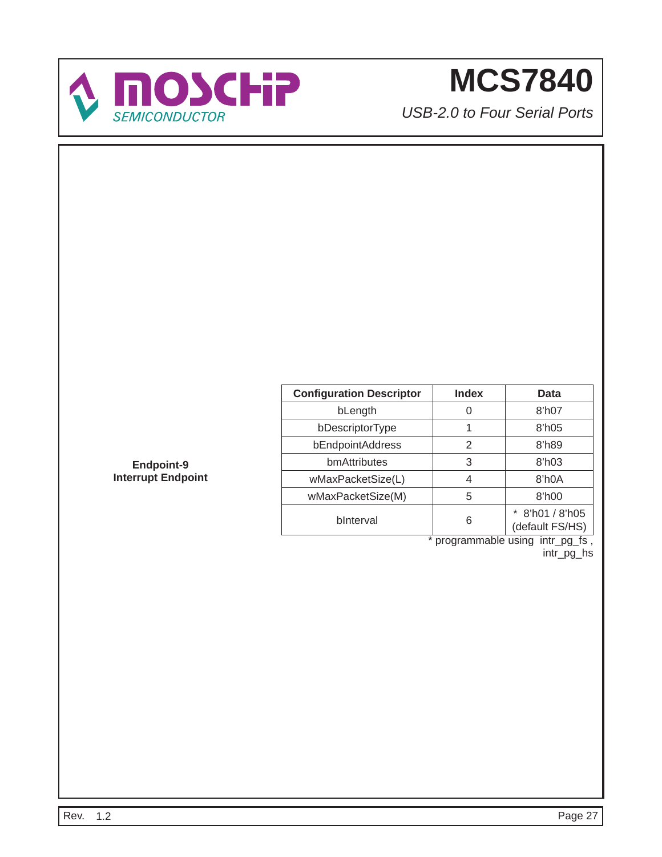

*USB-2.0 to Four Serial Ports*

| <b>Configuration Descriptor</b> | <b>Index</b> | Data                             |
|---------------------------------|--------------|----------------------------------|
| bLength                         |              | 8'h07                            |
| bDescriptorType                 |              | $8$ 'h $05$                      |
| bEndpointAddress                | 2            | 8'h89                            |
| bmAttributes                    | 3            | $8$ 'h03                         |
| wMaxPacketSize(L)               | 4            | 8'h0A                            |
| wMaxPacketSize(M)               | 5            | 8'h00                            |
| binterval                       | 6            | 8'h01 / 8'h05<br>(default FS/HS) |

\* programmable using intr\_pg\_fs , intr\_pg\_hs

**Endpoint-9 Interrupt Endpoint**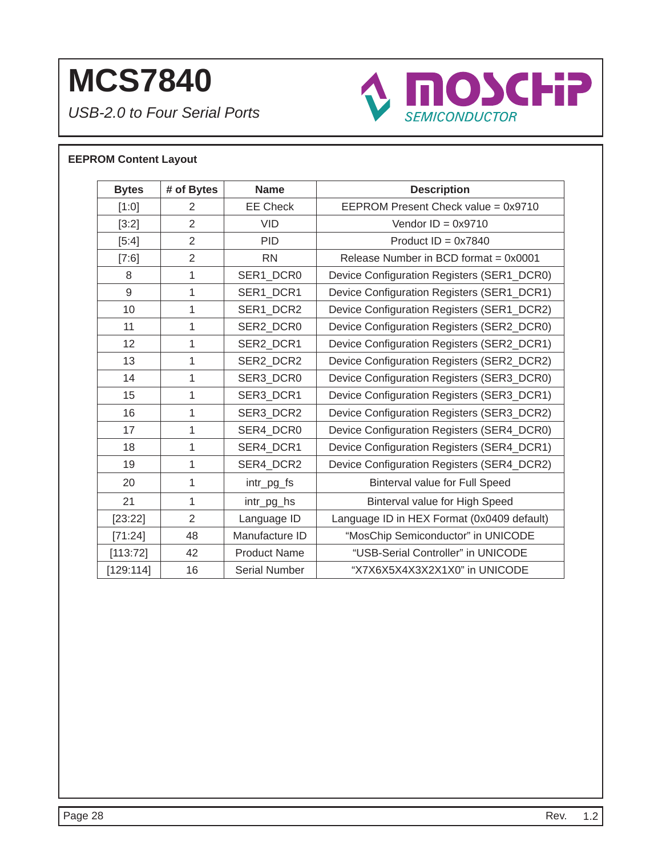*USB-2.0 to Four Serial Ports*



### **EEPROM Content Layout**

| <b>Bytes</b> | # of Bytes     | <b>Name</b>          | <b>Description</b>                         |
|--------------|----------------|----------------------|--------------------------------------------|
| [1:0]        | 2              | <b>EE Check</b>      | EEPROM Present Check value = 0x9710        |
| [3:2]        | $\overline{2}$ | <b>VID</b>           | Vendor $ID = 0x9710$                       |
| [5:4]        | $\overline{2}$ | <b>PID</b>           | Product $ID = 0x7840$                      |
| [7:6]        | $\overline{2}$ | <b>RN</b>            | Release Number in BCD format = 0x0001      |
| 8            | 1              | SER1 DCR0            | Device Configuration Registers (SER1_DCR0) |
| 9            | 1              | SER1_DCR1            | Device Configuration Registers (SER1_DCR1) |
| 10           | 1              | SER1_DCR2            | Device Configuration Registers (SER1_DCR2) |
| 11           | 1              | SER2 DCR0            | Device Configuration Registers (SER2_DCR0) |
| 12           | 1              | SER2_DCR1            | Device Configuration Registers (SER2_DCR1) |
| 13           | $\mathbf{1}$   | SER2_DCR2            | Device Configuration Registers (SER2_DCR2) |
| 14           | 1              | SER3 DCR0            | Device Configuration Registers (SER3_DCR0) |
| 15           | 1              | SER3_DCR1            | Device Configuration Registers (SER3_DCR1) |
| 16           | 1              | SER3 DCR2            | Device Configuration Registers (SER3_DCR2) |
| 17           | 1              | SER4 DCR0            | Device Configuration Registers (SER4_DCR0) |
| 18           | 1              | SER4_DCR1            | Device Configuration Registers (SER4_DCR1) |
| 19           | 1              | SER4 DCR2            | Device Configuration Registers (SER4_DCR2) |
| 20           | 1              | intr_pg_fs           | <b>Binterval value for Full Speed</b>      |
| 21           | 1              | intr_pg_hs           | Binterval value for High Speed             |
| [23:22]      | $\overline{2}$ | Language ID          | Language ID in HEX Format (0x0409 default) |
| [71:24]      | 48             | Manufacture ID       | "MosChip Semiconductor" in UNICODE         |
| [113:72]     | 42             | <b>Product Name</b>  | "USB-Serial Controller" in UNICODE         |
| [129:114]    | 16             | <b>Serial Number</b> | "X7X6X5X4X3X2X1X0" in UNICODE              |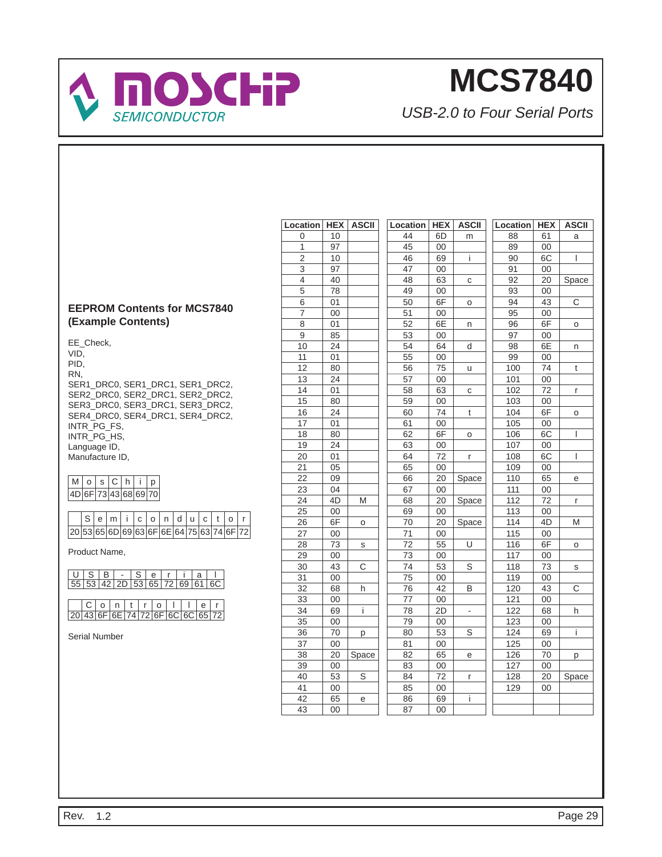

*USB-2.0 to Four Serial Ports*

### **EEPROM Contents for MCS7840 (Example Contents)**

EE\_Check, VID, PID, RN, SER1\_DRC0, SER1\_DRC1, SER1\_DRC2, SER2\_DRC0, SER2\_DRC1, SER2\_DRC2, SER3\_DRC0, SER3\_DRC1, SER3\_DRC2, SER4\_DRC0, SER4\_DRC1, SER4\_DRC2, INTR\_PG\_FS, INTR\_PG\_HS, Language ID, Manufacture ID,

| I4D | 6F173436869170 |  |  |  |
|-----|----------------|--|--|--|

|  |  | S e m i c o n d u c t o                      |  |  |  |  |  |
|--|--|----------------------------------------------|--|--|--|--|--|
|  |  | $ 20 53 65 6D 69 63 6F 6E 64 75 63 74 6F 72$ |  |  |  |  |  |

Product Name,

|  |  |  |  | USB-Serial<br>55 53 42 2D 53 65 72 69 61 6C |
|--|--|--|--|---------------------------------------------|
|  |  |  |  |                                             |
|  |  |  |  |                                             |

C | o | n | t | r | o | l | l | e | r 20 43 6F 6E 74 72 6F 6C 6C 65 72

Serial Number

| Location        | <b>HEX</b> | <b>ASCII</b> | Location | <b>HEX</b> | <b>ASCII</b>             | Location | <b>HEX</b> | <b>ASCII</b> |
|-----------------|------------|--------------|----------|------------|--------------------------|----------|------------|--------------|
| 0               | 10         |              | 44       | 6D         | m                        | 88       | 61         | a            |
| 1               | 97         |              | 45       | 00         |                          | 89       | 00         |              |
| $\overline{c}$  | 10         |              | 46       | 69         | i.                       | 90       | 6C         | I            |
| 3               | 97         |              | 47       | 00         |                          | 91       | 00         |              |
| 4               | 40         |              | 48       | 63         | С                        | 92       | 20         | Space        |
| 5               | 78         |              | 49       | 00         |                          | 93       | 00         |              |
| 6               | 01         |              | 50       | 6F         | o                        | 94       | 43         | C            |
| 7               | 00         |              | 51       | 00         |                          | 95       | 00         |              |
| 8               | 01         |              | 52       | 6E         | n                        | 96       | 6F         | O            |
| 9               | 85         |              | 53       | 00         |                          | 97       | 00         |              |
| 10              | 24         |              | 54       | 64         | d                        | 98       | 6E         | n            |
| 11              | 01         |              | 55       | 00         |                          | 99       | 00         |              |
| 12              | 80         |              | 56       | 75         | u                        | 100      | 74         | t            |
| 13              | 24         |              | 57       | 00         |                          | 101      | 00         |              |
| 14              | 01         |              | 58       | 63         | C                        | 102      | 72         | r            |
| 15              | 80         |              | 59       | 00         |                          | 103      | $00\,$     |              |
| 16              | 24         |              | 60       | 74         | t                        | 104      | 6F         | o            |
| 17              | 01         |              | 61       | 00         |                          | 105      | 00         |              |
| 18              | 80         |              | 62       | 6F         | o                        | 106      | 6C         | I            |
| 19              | 24         |              | 63       | 00         |                          | 107      | 00         |              |
| 20              | 01         |              | 64       | 72         | $\mathsf{r}$             | 108      | 6C         | I            |
| 21              | 05         |              | 65       | 00         |                          | 109      | 00         |              |
| 22              | 09         |              | 66       | 20         | Space                    | 110      | 65         | е            |
| 23              | 04         |              | 67       | 00         |                          | 111      | 00         |              |
| 24              | 4D         | M            | 68       | 20         | Space                    | 112      | 72         | r            |
| 25              | $00\,$     |              | 69       | 00         |                          | 113      | 00         |              |
| 26              | 6F         | O            | 70       | 20         | Space                    | 114      | 4D         | M            |
| 27              | $00\,$     |              | 71       | 00         |                          | 115      | 00         |              |
| 28              | 73         | S            | 72       | 55         | U                        | 116      | 6F         | o            |
| 29              | 00         |              | 73       | 00         |                          | 117      | 00         |              |
| 30              | 43         | C            | 74       | 53         | S                        | 118      | 73         | s            |
| 31              | 00         |              | 75       | 00         |                          | 119      | $00\,$     |              |
| 32              | 68         | h            | 76       | 42         | В                        | 120      | 43         | С            |
| 33              | $00\,$     |              | 77       | 00         |                          | 121      | 00         |              |
| 34              | 69         | i            | 78       | 2D         | $\overline{\phantom{a}}$ | 122      | 68         | h            |
| $\overline{35}$ | 00         |              | 79       | 00         |                          | 123      | 00         |              |
| 36              | 70         | р            | 80       | 53         | S                        | 124      | 69         | i            |
| 37              | 00         |              | 81       | 00         |                          | 125      | 00         |              |
| 38              | 20         | Space        | 82       | 65         | е                        | 126      | 70         | р            |
| 39              | 00         |              | 83       | 00         |                          | 127      | 00         |              |
| 40              | 53         | S            | 84       | 72         | r                        | 128      | 20         | Space        |
| 41              | $00\,$     |              | 85       | 00         |                          | 129      | 00         |              |
| 42              | 65         | e            | 86       | 69         | i                        |          |            |              |
| 43              | 00         |              | 87       | 00         |                          |          |            |              |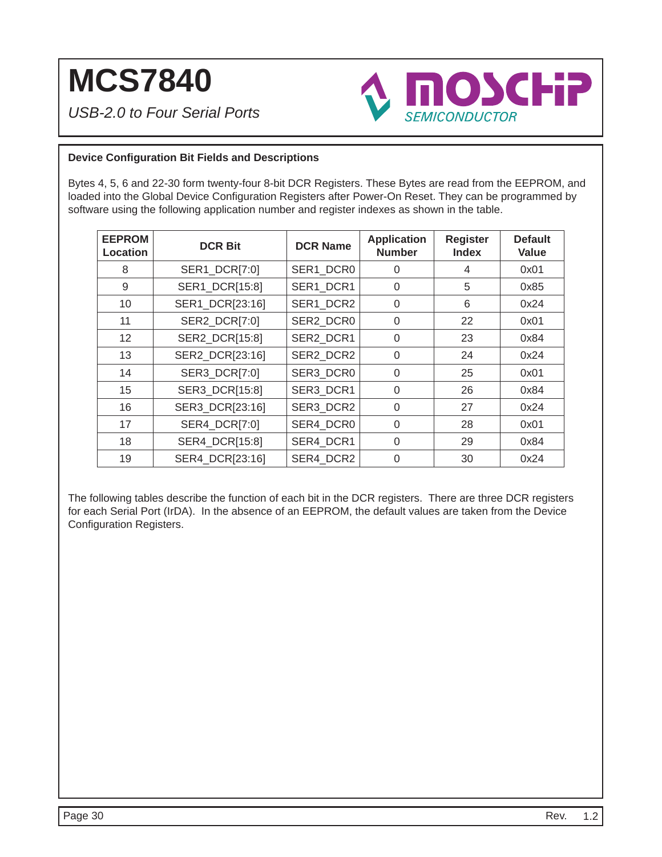*USB-2.0 to Four Serial Ports*



#### **Device Confi guration Bit Fields and Descriptions**

Bytes 4, 5, 6 and 22-30 form twenty-four 8-bit DCR Registers. These Bytes are read from the EEPROM, and loaded into the Global Device Configuration Registers after Power-On Reset. They can be programmed by software using the following application number and register indexes as shown in the table.

| <b>EEPROM</b><br><b>Location</b> | <b>DCR Bit</b>  | <b>DCR Name</b> | <b>Application</b><br><b>Number</b> | <b>Register</b><br><b>Index</b> | <b>Default</b><br>Value |
|----------------------------------|-----------------|-----------------|-------------------------------------|---------------------------------|-------------------------|
| 8                                | SER1_DCR[7:0]   | SER1 DCR0       | 0                                   | 4                               | 0x01                    |
| 9                                | SER1_DCR[15:8]  | SER1 DCR1       | $\Omega$                            | 5                               | 0x85                    |
| 10                               | SER1_DCR[23:16] | SER1 DCR2       | 0                                   | 6                               | 0x24                    |
| 11                               | SER2_DCR[7:0]   | SER2 DCR0       | 0                                   | 22                              | 0x01                    |
| $12 \overline{ }$                | SER2_DCR[15:8]  | SER2 DCR1       | $\Omega$                            | 23                              | 0x84                    |
| 13                               | SER2 DCR[23:16] | SER2 DCR2       | $\Omega$                            | 24                              | 0x24                    |
| 14                               | SER3_DCR[7:0]   | SER3 DCR0       | $\Omega$                            | 25                              | 0x01                    |
| 15                               | SER3_DCR[15:8]  | SER3 DCR1       | $\Omega$                            | 26                              | 0x84                    |
| 16                               | SER3 DCR[23:16] | SER3 DCR2       | $\Omega$                            | 27                              | 0x24                    |
| 17                               | SER4_DCR[7:0]   | SER4 DCR0       | 0                                   | 28                              | 0x01                    |
| 18                               | SER4_DCR[15:8]  | SER4_DCR1       | $\Omega$                            | 29                              | 0x84                    |
| 19                               | SER4_DCR[23:16] | SER4 DCR2       | 0                                   | 30                              | 0x24                    |

The following tables describe the function of each bit in the DCR registers. There are three DCR registers for each Serial Port (IrDA). In the absence of an EEPROM, the default values are taken from the Device Configuration Registers.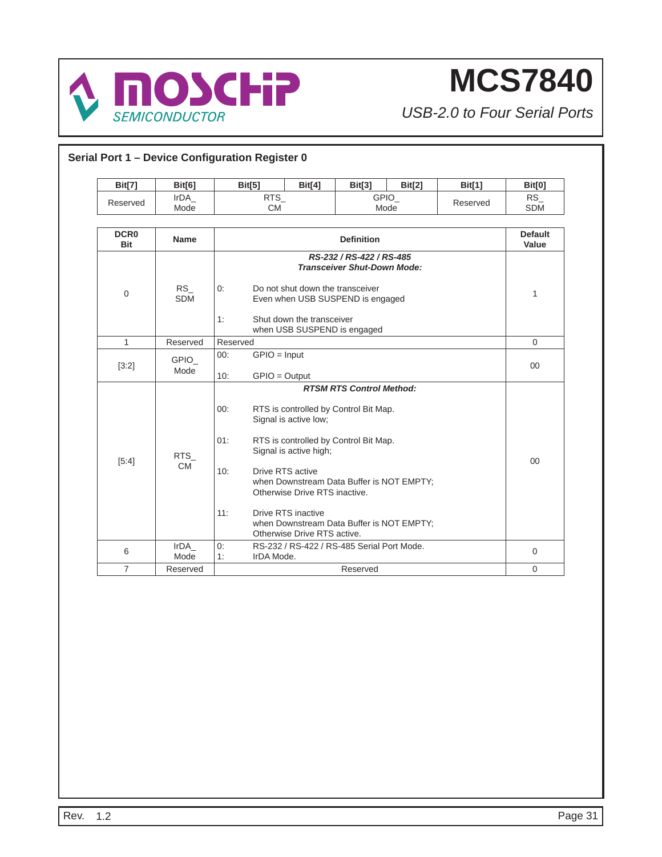

| <b>Bit[7]</b>           | <b>Bit[6]</b>           | <b>Bit[5]</b>                                   | Bit[4]                                                                                                                                                    | <b>Bit[3]</b>                                                                                                                                                                                               | <b>Bit[2]</b> | <b>Bit[1]</b> | <b>Bit[0]</b>           |
|-------------------------|-------------------------|-------------------------------------------------|-----------------------------------------------------------------------------------------------------------------------------------------------------------|-------------------------------------------------------------------------------------------------------------------------------------------------------------------------------------------------------------|---------------|---------------|-------------------------|
| Reserved                | IrDA<br>Mode            | RTS_<br><b>CM</b>                               |                                                                                                                                                           | GPIO_<br>Mode                                                                                                                                                                                               |               | Reserved      | $RS_{-}$<br><b>SDM</b>  |
| DCR <sub>0</sub><br>Bit | <b>Name</b>             |                                                 |                                                                                                                                                           | <b>Definition</b>                                                                                                                                                                                           |               |               | <b>Default</b><br>Value |
| $\mathbf 0$             | <b>RS</b><br><b>SDM</b> | 0:<br>1:                                        | Do not shut down the transceiver<br>Shut down the transceiver                                                                                             | RS-232 / RS-422 / RS-485<br><b>Transceiver Shut-Down Mode:</b><br>Even when USB SUSPEND is engaged<br>when USB SUSPEND is engaged                                                                           |               |               | $\mathbf{1}$            |
| $\mathbf{1}$            | Reserved                | Reserved                                        |                                                                                                                                                           |                                                                                                                                                                                                             |               |               | $\mathbf 0$             |
| [3:2]                   | <b>GPIO</b><br>Mode     | $GPIO = Input$<br>00:<br>10:<br>$GPIO = Output$ |                                                                                                                                                           |                                                                                                                                                                                                             |               |               | $00\,$                  |
| [5:4]                   | <b>RTS</b><br><b>CM</b> | 00:<br>01:<br>10:<br>11:                        | Signal is active low;<br>Signal is active high;<br>Drive RTS active<br>Otherwise Drive RTS inactive.<br>Drive RTS inactive<br>Otherwise Drive RTS active. | <b>RTSM RTS Control Method:</b><br>RTS is controlled by Control Bit Map.<br>RTS is controlled by Control Bit Map.<br>when Downstream Data Buffer is NOT EMPTY;<br>when Downstream Data Buffer is NOT EMPTY; |               |               | 00                      |
| 6                       | IrDA<br>Mode            | 0:<br>1:<br>IrDA Mode.                          |                                                                                                                                                           | RS-232 / RS-422 / RS-485 Serial Port Mode.                                                                                                                                                                  |               |               | $\mathbf 0$             |
| $\overline{7}$          | Reserved                |                                                 |                                                                                                                                                           | Reserved                                                                                                                                                                                                    |               |               | $\Omega$                |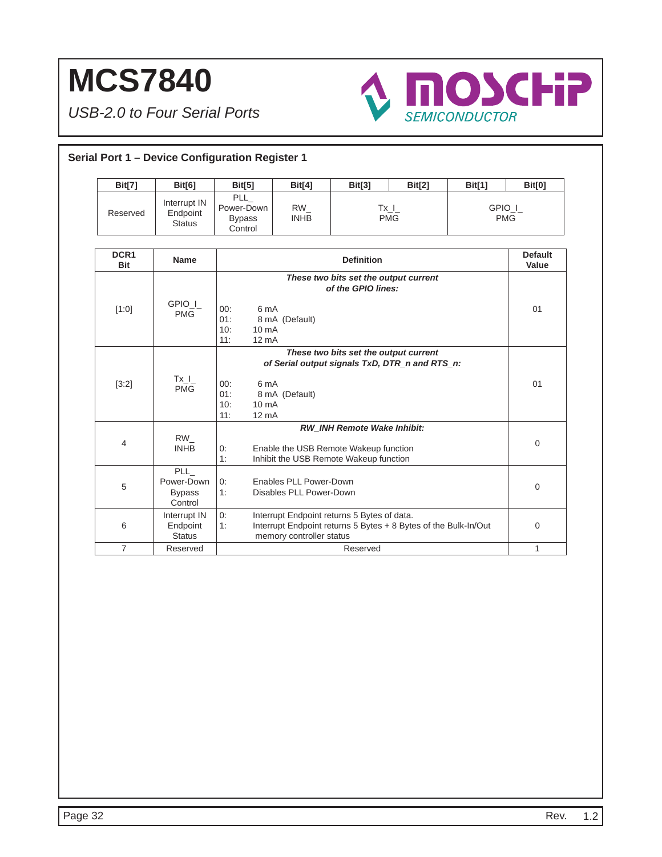

| Serial Port 1 - Device Configuration Register 1 |                                                      |                                                                          |                                                   |                                                                                                                       |                                                                 |               |                         |
|-------------------------------------------------|------------------------------------------------------|--------------------------------------------------------------------------|---------------------------------------------------|-----------------------------------------------------------------------------------------------------------------------|-----------------------------------------------------------------|---------------|-------------------------|
| <b>Bit[7]</b>                                   | Bit[6]                                               | <b>Bit[5]</b>                                                            | <b>Bit[4]</b>                                     | <b>Bit[3]</b>                                                                                                         | Bit[2]                                                          | <b>Bit[1]</b> | <b>Bit[0]</b>           |
| Reserved                                        | Interrupt IN<br>Endpoint<br><b>Status</b>            | <b>PLL</b><br>Power-Down<br><b>Bypass</b><br>Control                     | $RW_{-}$<br><b>INHB</b>                           |                                                                                                                       | $Tx_l$<br><b>PMG</b>                                            | GPIO_I_       | <b>PMG</b>              |
| DCR <sub>1</sub><br><b>Bit</b>                  | <b>Name</b>                                          |                                                                          |                                                   | <b>Definition</b>                                                                                                     |                                                                 |               | <b>Default</b><br>Value |
| [1:0]                                           | GPIO I<br><b>PMG</b>                                 | 00:<br>6 mA<br>01:<br>10:<br>10 <sub>m</sub> A<br>11:<br>$12 \text{ mA}$ | 8 mA (Default)                                    | These two bits set the output current<br>of the GPIO lines:                                                           |                                                                 |               | 01                      |
| [3:2]                                           | $Tx_l$<br><b>PMG</b>                                 | 6 mA<br>00:<br>01:<br>10:<br>10 mA<br>$12 \text{ mA}$<br>11:             | 8 mA (Default)                                    | These two bits set the output current                                                                                 | of Serial output signals TxD, DTR_n and RTS_n:                  |               | 01                      |
| 4                                               | <b>RW</b><br><b>INHB</b>                             | 0:<br>1:                                                                 |                                                   | <b>RW INH Remote Wake Inhibit:</b><br>Enable the USB Remote Wakeup function<br>Inhibit the USB Remote Wakeup function |                                                                 |               | 0                       |
| 5                                               | <b>PLL</b><br>Power-Down<br><b>Bypass</b><br>Control | 0:<br>1:                                                                 | Enables PLL Power-Down<br>Disables PLL Power-Down |                                                                                                                       |                                                                 |               | 0                       |
| 6                                               | Interrupt IN<br>Endpoint<br><b>Status</b>            | 0:<br>1:                                                                 | memory controller status                          | Interrupt Endpoint returns 5 Bytes of data.                                                                           | Interrupt Endpoint returns 5 Bytes + 8 Bytes of the Bulk-In/Out |               | 0                       |
| $\overline{7}$                                  | Reserved                                             |                                                                          |                                                   | Reserved                                                                                                              |                                                                 |               | $\mathbf{1}$            |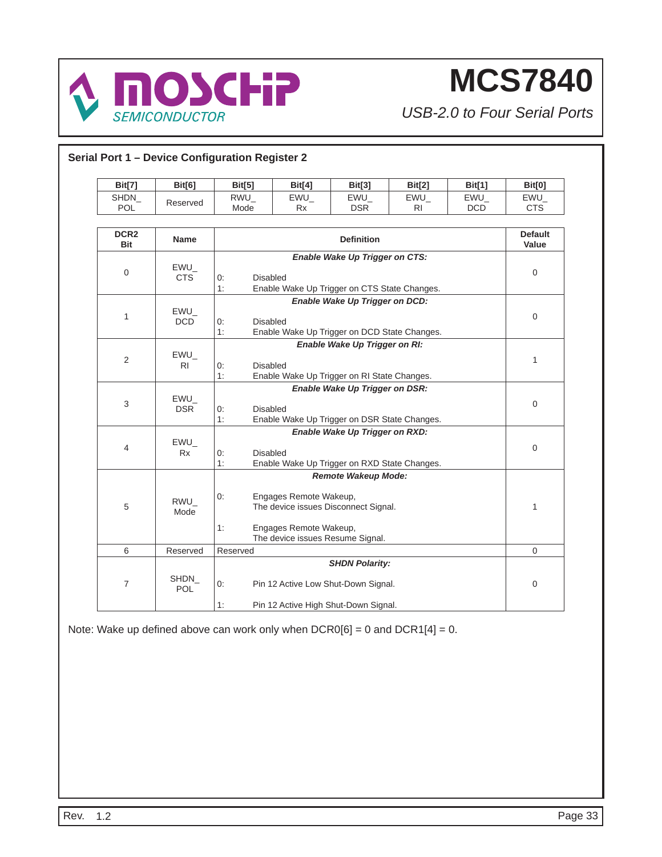

*USB-2.0 to Four Serial Ports*

| SHDN<br><b>POL</b>             | Reserved                 |                             | <b>Bit[4]</b>                                                                                   | Bit[3]                                                                         | Bit[2]    | <b>Bit[1]</b> | <b>Bit[0]</b>           |
|--------------------------------|--------------------------|-----------------------------|-------------------------------------------------------------------------------------------------|--------------------------------------------------------------------------------|-----------|---------------|-------------------------|
|                                |                          | $RWU_$                      | EWU                                                                                             | EWU                                                                            | EWU       | EWU           | $EWU_$                  |
|                                |                          | Mode                        | Rx                                                                                              | <b>DSR</b>                                                                     | <b>RI</b> | <b>DCD</b>    | <b>CTS</b>              |
| DCR <sub>2</sub><br><b>Bit</b> | <b>Name</b>              |                             |                                                                                                 | <b>Definition</b>                                                              |           |               | <b>Default</b><br>Value |
| $\mathbf 0$                    | EWU<br><b>CTS</b>        | <b>Disabled</b><br>0:<br>1: |                                                                                                 | Enable Wake Up Trigger on CTS:<br>Enable Wake Up Trigger on CTS State Changes. |           |               | $\mathbf 0$             |
| 1                              | EWU<br><b>DCD</b>        | <b>Disabled</b><br>0:<br>1: |                                                                                                 | Enable Wake Up Trigger on DCD:<br>Enable Wake Up Trigger on DCD State Changes. |           |               | 0                       |
| 2                              | $EWU_$<br>R <sub>1</sub> | 0:<br>1:                    | Enable Wake Up Trigger on RI:<br><b>Disabled</b><br>Enable Wake Up Trigger on RI State Changes. |                                                                                |           |               |                         |
| 3                              | $EWU_$<br><b>DSR</b>     | 0:<br><b>Disabled</b><br>1: |                                                                                                 | Enable Wake Up Trigger on DSR:<br>Enable Wake Up Trigger on DSR State Changes. |           |               | 0                       |
| 4                              | $EWU_$<br><b>Rx</b>      | 0:<br><b>Disabled</b><br>1: |                                                                                                 | Enable Wake Up Trigger on RXD:<br>Enable Wake Up Trigger on RXD State Changes. |           |               | 0                       |
| 5                              | RWU<br>Mode              | 0:<br>1:                    | Engages Remote Wakeup,<br>Engages Remote Wakeup,<br>The device issues Resume Signal.            | <b>Remote Wakeup Mode:</b><br>The device issues Disconnect Signal.             |           |               | 1                       |
| 6                              | Reserved                 | Reserved                    |                                                                                                 |                                                                                |           |               | $\mathbf{0}$            |
| $\overline{7}$                 | SHDN<br><b>POL</b>       | 0:                          |                                                                                                 | <b>SHDN Polarity:</b><br>Pin 12 Active Low Shut-Down Signal.                   |           |               | 0                       |

Note: Wake up defined above can work only when  $DCR0[6] = 0$  and  $DCR1[4] = 0$ .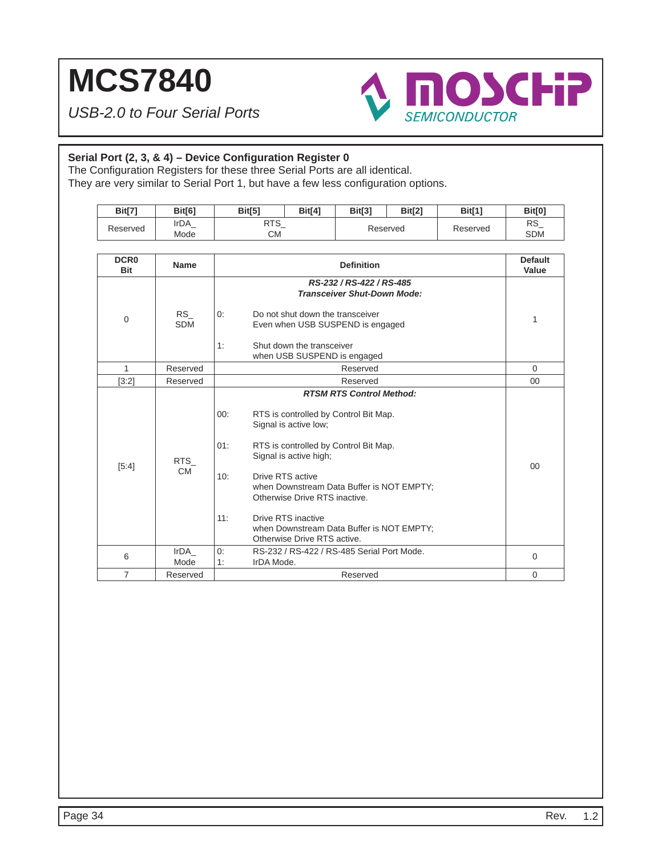*USB-2.0 to Four Serial Ports*



### Serial Port (2, 3, & 4) - Device Configuration Register 0

The Configuration Registers for these three Serial Ports are all identical.

They are very similar to Serial Port 1, but have a few less configuration options.

| Bit[7]                         | Bit[6]                  | Bit[5]                                                               | <b>Bit[4]</b>                                                                                                                                                                                                                                                                                                                                                            | <b>Bit[3]</b>     | <b>Bit[2]</b> | <b>Bit[1]</b> | Bit[0]                  |  |
|--------------------------------|-------------------------|----------------------------------------------------------------------|--------------------------------------------------------------------------------------------------------------------------------------------------------------------------------------------------------------------------------------------------------------------------------------------------------------------------------------------------------------------------|-------------------|---------------|---------------|-------------------------|--|
| Reserved                       | IrDA<br>Mode            | RTS_<br><b>CM</b>                                                    |                                                                                                                                                                                                                                                                                                                                                                          |                   | Reserved      | Reserved      | <b>RS</b><br><b>SDM</b> |  |
| DCR <sub>0</sub><br><b>Bit</b> | <b>Name</b>             |                                                                      |                                                                                                                                                                                                                                                                                                                                                                          | <b>Definition</b> |               |               | <b>Default</b><br>Value |  |
| $\Omega$                       | <b>RS</b><br><b>SDM</b> | 0:<br>1:                                                             | RS-232 / RS-422 / RS-485<br><b>Transceiver Shut-Down Mode:</b><br>Do not shut down the transceiver<br>Even when USB SUSPEND is engaged<br>Shut down the transceiver<br>when USB SUSPEND is engaged                                                                                                                                                                       |                   |               |               |                         |  |
| $\mathbf{1}$                   | Reserved                |                                                                      | Reserved                                                                                                                                                                                                                                                                                                                                                                 |                   |               |               |                         |  |
| [3:2]                          | Reserved                |                                                                      | Reserved                                                                                                                                                                                                                                                                                                                                                                 |                   |               |               |                         |  |
| [5:4]                          | <b>RTS</b><br><b>CM</b> | 00:<br>01:<br>10:<br>11:                                             | <b>RTSM RTS Control Method:</b><br>RTS is controlled by Control Bit Map.<br>Signal is active low;<br>RTS is controlled by Control Bit Map.<br>Signal is active high;<br>Drive RTS active<br>when Downstream Data Buffer is NOT EMPTY;<br>Otherwise Drive RTS inactive.<br>Drive RTS inactive<br>when Downstream Data Buffer is NOT EMPTY;<br>Otherwise Drive RTS active. |                   |               |               |                         |  |
| 6                              | IrDA<br>Mode            | RS-232 / RS-422 / RS-485 Serial Port Mode.<br>0:<br>1:<br>IrDA Mode. |                                                                                                                                                                                                                                                                                                                                                                          |                   |               |               |                         |  |
| $\overline{7}$                 | Reserved                |                                                                      |                                                                                                                                                                                                                                                                                                                                                                          | Reserved          |               |               | $\Omega$                |  |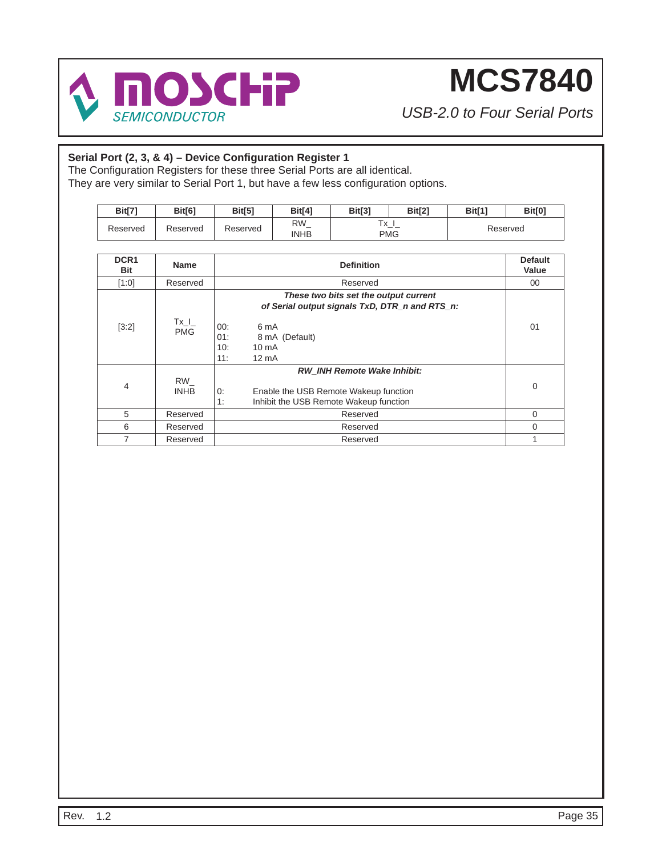

*USB-2.0 to Four Serial Ports*

### Serial Port (2, 3, & 4) - Device Configuration Register 1

The Configuration Registers for these three Serial Ports are all identical. They are very similar to Serial Port 1, but have a few less configuration options.

| Bit[7    | <b>Bit[6]</b> | <b>Bit[5]</b> | Bit <sup>[4]</sup> | Bit[3] | Bit[2]          | <b>Bit[1]</b> | <b>Bit[0]</b> |
|----------|---------------|---------------|--------------------|--------|-----------------|---------------|---------------|
| Reserved | Reserved      | Reserved      | RW<br><b>INHB</b>  | 大学     | . . ^_._<br>PMG |               | Reserved      |

| DCR <sub>1</sub> | <b>Name</b>          | <b>Definition</b>                                                                                                                 | <b>Default</b> |
|------------------|----------------------|-----------------------------------------------------------------------------------------------------------------------------------|----------------|
| <b>Bit</b>       |                      |                                                                                                                                   | Value          |
| [1:0]            | Reserved             | Reserved                                                                                                                          | 00             |
|                  |                      | These two bits set the output current<br>of Serial output signals TxD, DTR_n and RTS_n:                                           |                |
| [3:2]            | $Tx_l$<br><b>PMG</b> | 00:<br>6 mA<br>01:<br>8 mA (Default)<br>$10 \text{ mA}$<br>10:<br>11:<br>$12 \text{ mA}$                                          | 01             |
| $\overline{4}$   | RW<br><b>INHB</b>    | <b>RW INH Remote Wake Inhibit:</b><br>0:<br>Enable the USB Remote Wakeup function<br>1:<br>Inhibit the USB Remote Wakeup function | 0              |
| 5                | Reserved             | Reserved                                                                                                                          | 0              |
| 6                | Reserved             | Reserved                                                                                                                          | 0              |
| 7                | Reserved             | Reserved                                                                                                                          |                |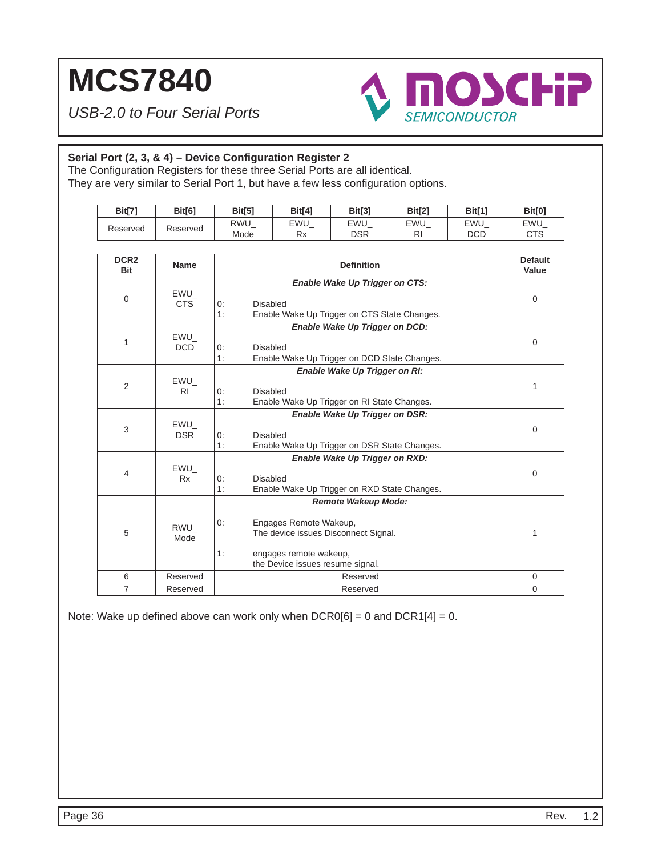*USB-2.0 to Four Serial Ports*



### Serial Port (2, 3, & 4) - Device Configuration Register 2

The Configuration Registers for these three Serial Ports are all identical.

They are very similar to Serial Port 1, but have a few less configuration options.

| <b>Bit[7]</b> | <b>Bit[6]</b> | <b>Bit[5]</b>      | <b>Bit[4]</b>   | <b>Bit[3]</b> | Bit[2]                     | Bit[1]     | <b>Bit[0]</b>                    |
|---------------|---------------|--------------------|-----------------|---------------|----------------------------|------------|----------------------------------|
| Reserved      | Reserved      | <b>RWU</b><br>Mode | EWU<br>D.<br>rχ | EWU<br>DSR    | EWU<br>$\mathbf{D}$<br>ורו | EWU<br>DCD | <b>EWU</b><br>$\cap$ Te<br>ں ا ب |

| DCR <sub>2</sub><br><b>Bit</b> | <b>Name</b>           | <b>Definition</b>                                                                                                                                                      | <b>Default</b><br>Value |
|--------------------------------|-----------------------|------------------------------------------------------------------------------------------------------------------------------------------------------------------------|-------------------------|
| $\mathbf 0$                    | EWU<br><b>CTS</b>     | Enable Wake Up Trigger on CTS:<br>Disabled<br>0:<br>1:<br>Enable Wake Up Trigger on CTS State Changes.                                                                 | 0                       |
| 1                              | EWU<br><b>DCD</b>     | Enable Wake Up Trigger on DCD:<br>Disabled<br>0:<br>1:<br>Enable Wake Up Trigger on DCD State Changes.                                                                 | $\mathbf 0$             |
| 2                              | EWU<br>R <sub>1</sub> | Enable Wake Up Trigger on RI:<br>Disabled<br>0:<br>1:<br>Enable Wake Up Trigger on RI State Changes.                                                                   | 1                       |
| 3                              | EWU<br><b>DSR</b>     | Enable Wake Up Trigger on DSR:<br>Disabled<br>0:<br>1:<br>Enable Wake Up Trigger on DSR State Changes.                                                                 | $\mathbf 0$             |
| $\overline{4}$                 | EWU<br><b>Rx</b>      | Enable Wake Up Trigger on RXD:<br>Disabled<br>0:<br>1:<br>Enable Wake Up Trigger on RXD State Changes.                                                                 | $\Omega$                |
| 5                              | RWU<br>Mode           | <b>Remote Wakeup Mode:</b><br>Engages Remote Wakeup,<br>0:<br>The device issues Disconnect Signal.<br>1:<br>engages remote wakeup,<br>the Device issues resume signal. | 1                       |
| 6                              | Reserved              | Reserved                                                                                                                                                               | $\mathbf 0$             |
| $\overline{7}$                 | Reserved              | Reserved                                                                                                                                                               | $\overline{0}$          |

Note: Wake up defined above can work only when  $DCR0[6] = 0$  and  $DCR1[4] = 0$ .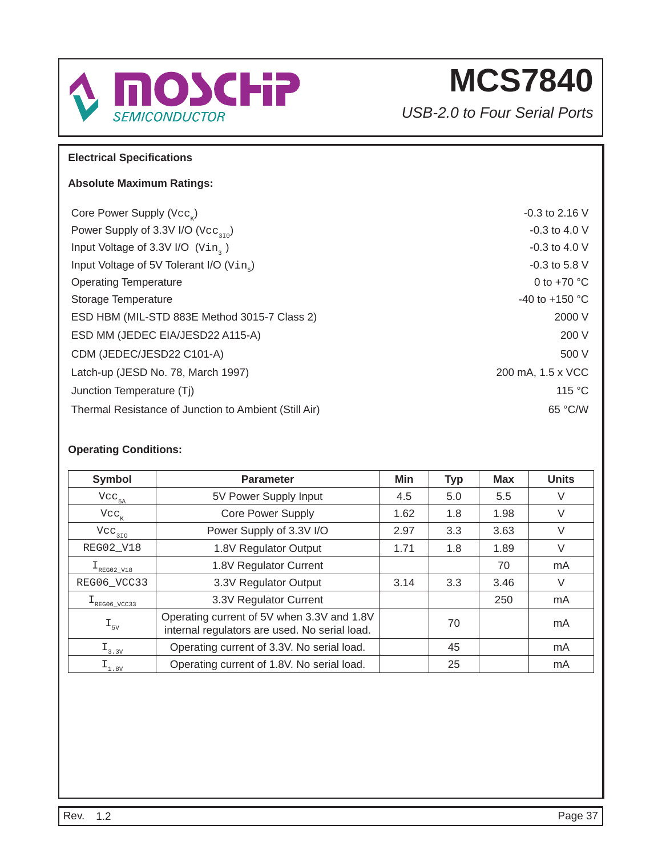

*USB-2.0 to Four Serial Ports*

### **Electrical Specifi cations**

### **Absolute Maximum Ratings:**

| Core Power Supply ( $\text{Vec}_n$ )                    | $-0.3$ to 2.16 V         |
|---------------------------------------------------------|--------------------------|
| Power Supply of 3.3V I/O ( $\text{Vec}_{\text{2.10}}$ ) | $-0.3$ to 4.0 V          |
| Input Voltage of 3.3V I/O (Vin, )                       | $-0.3$ to 4.0 V          |
| Input Voltage of 5V Tolerant I/O (Vin.)                 | $-0.3$ to 5.8 V          |
| <b>Operating Temperature</b>                            | 0 to $+70$ °C            |
| Storage Temperature                                     | -40 to +150 $^{\circ}$ C |
| ESD HBM (MIL-STD 883E Method 3015-7 Class 2)            | 2000 V                   |
| ESD MM (JEDEC EIA/JESD22 A115-A)                        | 200 V                    |
| CDM (JEDEC/JESD22 C101-A)                               | 500 V                    |
| Latch-up (JESD No. 78, March 1997)                      | 200 mA, 1.5 x VCC        |
| Junction Temperature (Tj)                               | 115 °C                   |
| Thermal Resistance of Junction to Ambient (Still Air)   | 65 °C/W                  |

**Operating Conditions:**

| Symbol                                         | Min<br><b>Parameter</b>                                                                     |                   | <b>Typ</b> | Max  | <b>Units</b> |
|------------------------------------------------|---------------------------------------------------------------------------------------------|-------------------|------------|------|--------------|
| $\mathrm{Vcc}_{_{5\mathrm{A}}}$                | 5V Power Supply Input                                                                       | 5.5<br>4.5<br>5.0 |            |      | V            |
| $\text{Vcc}_{\kappa}$                          | <b>Core Power Supply</b>                                                                    | 1.62              | 1.8        | 1.98 | V            |
| $Vec_{310}$                                    | Power Supply of 3.3V I/O                                                                    | 3.3<br>2.97       |            | 3.63 | $\vee$       |
| REG02_V18                                      | 1.8V Regulator Output                                                                       | 1.71<br>1.8       |            | 1.89 | V            |
| $I_{\text{REG02_V18}}$                         | 1.8V Regulator Current                                                                      |                   |            | 70   | mA           |
| REG06_VCC33                                    | 3.3V Regulator Output                                                                       | 3.14              | 3.3        | 3.46 | V            |
| $L_{\text{REG06\_VCC33}}$                      | 3.3V Regulator Current                                                                      |                   |            | 250  | mA           |
| $\mathbbm{1}_{\scriptscriptstyle 5\mathrm{V}}$ | Operating current of 5V when 3.3V and 1.8V<br>internal regulators are used. No serial load. | 70                |            | mA   |              |
| $I_{3.3V}$                                     | Operating current of 3.3V. No serial load.                                                  | 45                |            | mA   |              |
| $I_{1.8V}$                                     | Operating current of 1.8V. No serial load.                                                  |                   | 25         |      | mA           |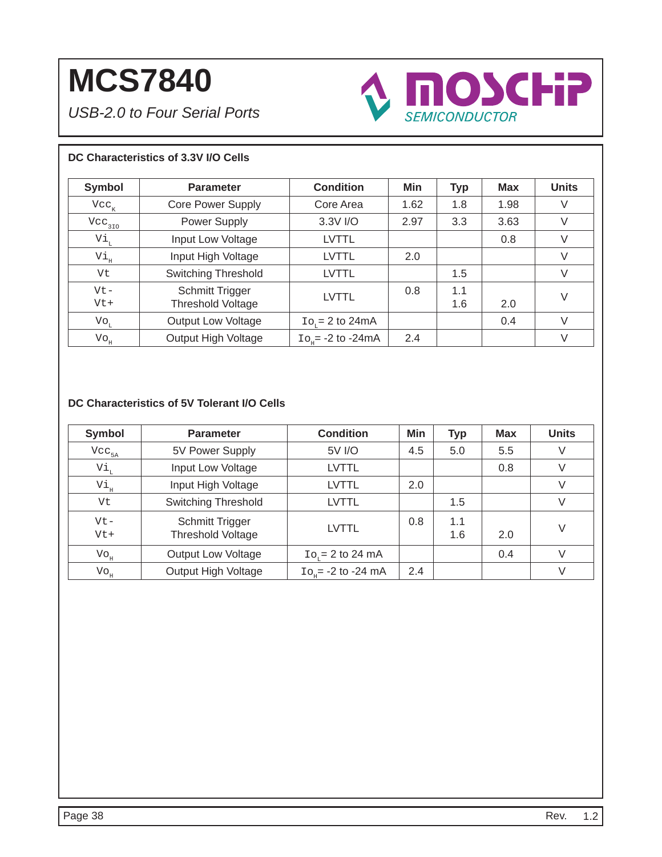*USB-2.0 to Four Serial Ports*



### **DC Characteristics of 3.3V I/O Cells**

| <b>Symbol</b>              | <b>Parameter</b>                            | <b>Condition</b>               | <b>Min</b> | <b>Typ</b> | <b>Max</b> | <b>Units</b> |
|----------------------------|---------------------------------------------|--------------------------------|------------|------------|------------|--------------|
| $Vcc_{K}$                  | <b>Core Power Supply</b>                    | Core Area                      | 1.62       | 1.8        | 1.98       | V            |
| $Vec_{370}$                | Power Supply                                | 3.3V I/O                       | 2.97       | 3.3        | 3.63       | V            |
| Vi,                        | Input Low Voltage                           | LVTTL                          |            |            | 0.8        | V            |
| Vi,                        | Input High Voltage                          | <b>LVTTL</b>                   | 2.0        |            |            | V            |
| Vt                         | <b>Switching Threshold</b>                  | <b>LVTTL</b>                   |            | 1.5        |            | V            |
| $Vt -$<br>$Vt+$            | <b>Schmitt Trigger</b><br>Threshold Voltage | <b>LVTTL</b>                   | 0.8        | 1.1<br>1.6 | 2.0        | V            |
| $\mathrm{Vo}_{\mathrm{L}}$ | <b>Output Low Voltage</b>                   | $\text{Io}_{r} = 2$ to 24mA    |            |            | 0.4        | $\vee$       |
| $\mathrm{Vo}_{\mathrm{H}}$ | Output High Voltage                         | $\text{Io}_{10}$ = -2 to -24mA | 2.4        |            |            | $\vee$       |

### **DC Characteristics of 5V Tolerant I/O Cells**

| <b>Symbol</b>                 | <b>Parameter</b>                            | <b>Condition</b>          | <b>Min</b> | <b>Typ</b> | <b>Max</b> | <b>Units</b> |
|-------------------------------|---------------------------------------------|---------------------------|------------|------------|------------|--------------|
| $Vec_{5A}$                    | 5V Power Supply                             | 5V I/O                    | 4.5        | 5.0        | 5.5        | V            |
| Vi <sub>L</sub>               | Input Low Voltage                           | LVTTL                     |            |            | 0.8        | V            |
| Vi <sub>H</sub>               | Input High Voltage                          | LVTTL                     | 2.0        |            |            | V            |
| Vt                            | <b>Switching Threshold</b>                  | LVTTL                     |            | 1.5        |            | V            |
| $Vt -$<br>$Vt+$               | Schmitt Trigger<br><b>Threshold Voltage</b> | <b>LVTTL</b>              | 0.8        | 1.1<br>1.6 | 2.0        | V            |
| $\mathrm{Vo}^{\mathrm{H}}$    | <b>Output Low Voltage</b>                   | $Ior = 2 to 24 mA$        |            |            | 0.4        | V            |
| $\mathrm{Vo}_{_{\mathrm{H}}}$ | Output High Voltage                         | $Io_{n} = -2$ to $-24$ mA | 2.4        |            |            | V            |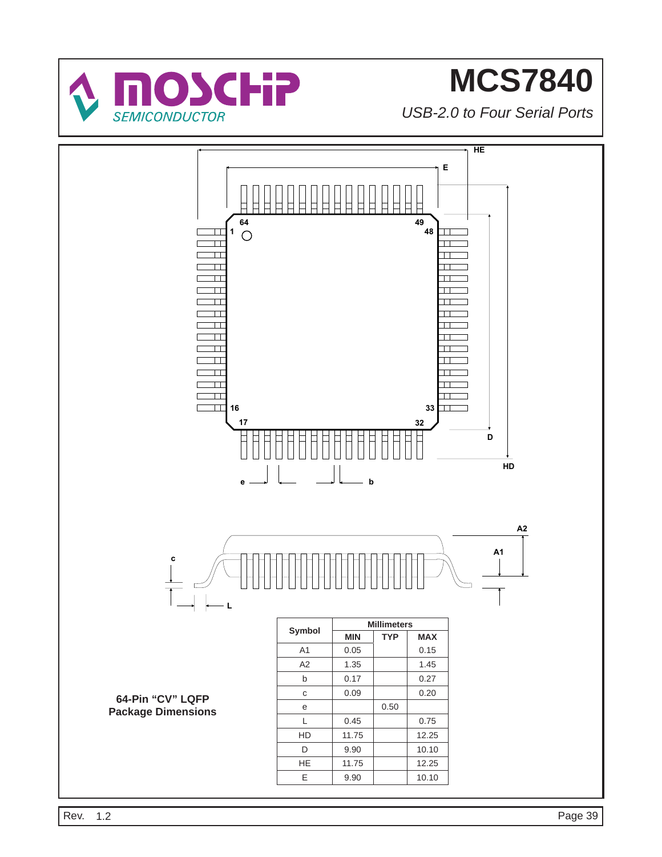

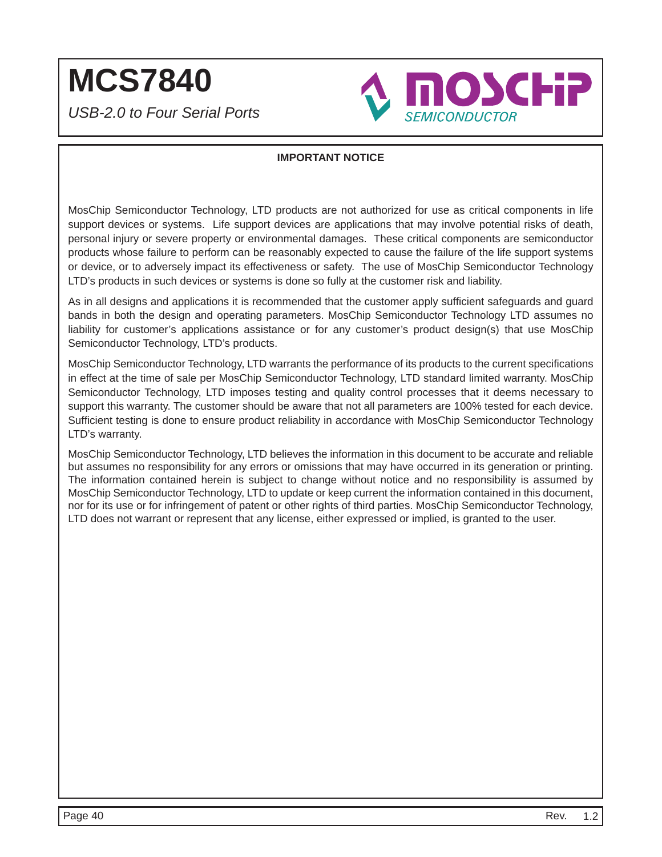*USB-2.0 to Four Serial Ports*



### **IMPORTANT NOTICE**

MosChip Semiconductor Technology, LTD products are not authorized for use as critical components in life support devices or systems. Life support devices are applications that may involve potential risks of death, personal injury or severe property or environmental damages. These critical components are semiconductor products whose failure to perform can be reasonably expected to cause the failure of the life support systems or device, or to adversely impact its effectiveness or safety. The use of MosChip Semiconductor Technology LTD's products in such devices or systems is done so fully at the customer risk and liability.

As in all designs and applications it is recommended that the customer apply sufficient safeguards and guard bands in both the design and operating parameters. MosChip Semiconductor Technology LTD assumes no liability for customer's applications assistance or for any customer's product design(s) that use MosChip Semiconductor Technology, LTD's products.

MosChip Semiconductor Technology, LTD warrants the performance of its products to the current specifications in effect at the time of sale per MosChip Semiconductor Technology, LTD standard limited warranty. MosChip Semiconductor Technology, LTD imposes testing and quality control processes that it deems necessary to support this warranty. The customer should be aware that not all parameters are 100% tested for each device. Sufficient testing is done to ensure product reliability in accordance with MosChip Semiconductor Technology LTD's warranty.

MosChip Semiconductor Technology, LTD believes the information in this document to be accurate and reliable but assumes no responsibility for any errors or omissions that may have occurred in its generation or printing. The information contained herein is subject to change without notice and no responsibility is assumed by MosChip Semiconductor Technology, LTD to update or keep current the information contained in this document, nor for its use or for infringement of patent or other rights of third parties. MosChip Semiconductor Technology, LTD does not warrant or represent that any license, either expressed or implied, is granted to the user.